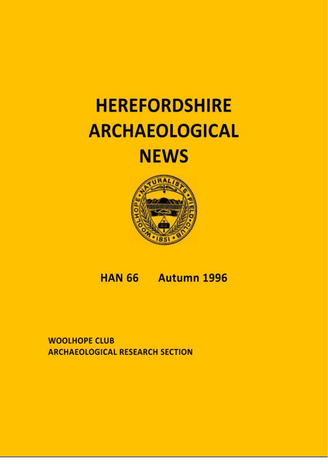# **HEREFORDSHIRE ARCHAEOLOGICAL NEWS**



# HAN 66 Autumn 1996

**WOOLHOPE CLUB ARCHAEOLOGICAL RESEARCH SECTION**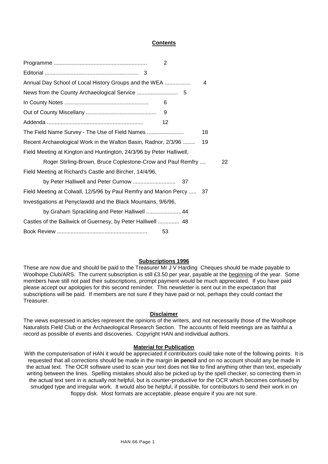# **Contents**

|                                                                       | 2  |  |
|-----------------------------------------------------------------------|----|--|
|                                                                       |    |  |
| Annual Day School of Local History Groups and the WEA                 | 4  |  |
|                                                                       |    |  |
|                                                                       | 6  |  |
|                                                                       | 9  |  |
|                                                                       | 12 |  |
| The Field Name Survey - The Use of Field Names                        | 18 |  |
| Recent Archaeological Work in the Walton Basin, Radnor, 2/3/96        | 19 |  |
| Field Meeting at Kington and Huntington, 24/3/96 by Peter Halliwell,  |    |  |
| Roger Stirling-Brown, Bruce Coplestone-Crow and Paul Remfry           | 22 |  |
| Field Meeting at Richard's Castle and Bircher, 14/4/96,               |    |  |
| by Peter Halliwell and Peter Curnow                                   | 37 |  |
| Field Meeting at Colwall, 12/5/96 by Paul Remfry and Marion Percy  37 |    |  |
| Investigations at Penyclawdd and the Black Mountains, 9/6/96,         |    |  |
| by Graham Sprackling and Peter Halliwell  44                          |    |  |
| Castles of the Bailiwick of Guernesy, by Peter Halliwell  48          |    |  |
|                                                                       | 53 |  |

#### **Subscriptions 1996**

These are now due and should be paid to the Treasurer Mr J V Harding Cheques should be made payable to Woolhope Club/ARS. The current subscription is still £3.50 per year, payable at the beginning of the year. Some members have still not paid their subscriptions, prompt payment would be much appreciated. If you have paid please accept our apologies for this second reminder. This newsletter is sent out in the expectation that subscriptions will be paid. If members are not sure if they have paid or not, perhaps they could contact the Treasurer.

#### **Disclaimer**

The views expressed in articles represent the opinions of the writers, and not necessarily those of the Woolhope Naturalists Field Club or the Archaeological Research Section. The accounts of field meetings are as faithful a record as possible of events and discoveries. Copyright HAN and individual authors.

#### **Material for Publication**

With the computerisation of HAN it would be appreciated if contributors could take note of the following points. It is requested that all corrections should be made in the margin **in pencil** and on no account should any be made in the actual text. The OCR software used to scan your text does not like to find anything other than text, especially writing between the lines. Spelling mistakes should also be picked up by the spell checker, so correcting them in the actual text sent in is actually not helpful, but is counter-productive for the OCR which becomes confused by smudged type and irregular work. It would also be helpful, if possible, for contributors to send their work in on floppy disk. Most formats are acceptable, please enquire if you are not sure.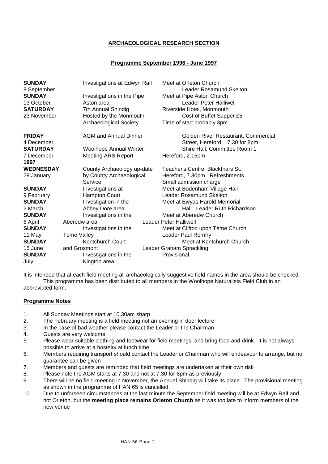# **ARCHAEOLOGICAL RESEARCH SECTION**

# **Programme September 1996 - June 1997**

| <b>SUNDAY</b><br>8 September | Investigations at Edwyn Ralf  | Meet at Orleton Church<br>Leader Rosamund Skelton                     |
|------------------------------|-------------------------------|-----------------------------------------------------------------------|
| <b>SUNDAY</b>                | Investigations in the Pipe    | Meet at Pipe Aston Church                                             |
| 13 October                   | Aston area                    | Leader Peter Halliwell                                                |
| <b>SATURDAY</b>              | 7th Annual Shindig            | Riverside Hotel, Monmouth                                             |
| 23 November                  | Hosted by the Monmouth        | Cost of Buffet Supper £5                                              |
|                              | <b>Archaeological Society</b> | Time of start probably 3pm                                            |
| <b>FRIDAY</b><br>4 December  | <b>AGM and Annual Dinner</b>  | Golden River Restaurant, Commercial<br>Street, Hereford. 7.30 for 8pm |
| <b>SATURDAY</b>              | <b>Woolhope Annual Winter</b> | Shire Hall, Committee Room 1                                          |
| 7 December                   | <b>Meeting ARS Report</b>     | Hereford, 2.15pm                                                      |
| 1997                         |                               |                                                                       |
| <b>WEDNESDAY</b>             | County Archaeology up-date    | Teacher's Centre, Blackfriars St.                                     |
| 29 January                   | by County Archaeological      | Hereford, 7.30pm. Refreshments                                        |
|                              | Service                       | Small admission charge                                                |
| <b>SUNDAY</b>                | Investigations at             | Meet at Bodenham Village Hall                                         |
| 9 February                   | <b>Hampton Court</b>          | <b>Leader Rosamund Skelton</b>                                        |
| <b>SUNDAY</b>                | Investigation in the          | Meet at Ewyas Harold Memorial                                         |
| 2 March                      | Abbey Dore area               | Hall. Leader Ruth Richardson                                          |
| <b>SUNDAY</b>                | Investigations in the         | Meet at Aberedw Church                                                |
| 6 April                      | Aberedw area                  | Leader Peter Halliwell                                                |
| <b>SUNDAY</b>                | Investigations in the         | Meet at Clifton upon Teme Church                                      |
| 11 May                       | <b>Teme Valley</b>            | <b>Leader Paul Remfry</b>                                             |
| <b>SUNDAY</b>                | Kentchurch Court              | Meet at Kentchurch Church                                             |
| 15 June                      | and Grosmont                  | Leader Graham Sprackling                                              |
| <b>SUNDAY</b>                | Investigations in the         | Provisional                                                           |
| July                         | Kington area                  |                                                                       |

It is intended that at each field meeting all archaeologically suggestive field names in the area should be checked. This programme has been distributed to all members in the Woolhope Naturalists Field Club in an abbreviated form.

#### **Programme Notes**

- 1. All Sunday Meetings start at 10.30am sharp
- 2. The February meeting is a field meeting not an evening in door lecture
- 3. In the case of bad weather please contact the Leader or the Chairman
- 4. Guests are very welcome
- 5. Please wear suitable clothing and footwear for field meetings, and bring food and drink. It is not always possible to arrive at a hostelry at lunch time
- 6. Members requiring transport should contact the Leader or Chairman who will endeavour to arrange, but no guarantee can be given
- 7. Members and guests are reminded that field meetings are undertaken at their own risk
- 8. Please note the AGM starts at 7.30 and not at 7.30 for 8pm as previously
- 9. There will be no field meeting in November, the Annual Shindig will take its place. The provisional meeting as shown in the programme of HAN 65 is cancelled
- 10 Due to unforseen circumstances at the last minute the September field meeting will be at Edwyn Ralf and not Orleton, but the **meeting place remains Orleton Church** as it was too late to inform members of the new venue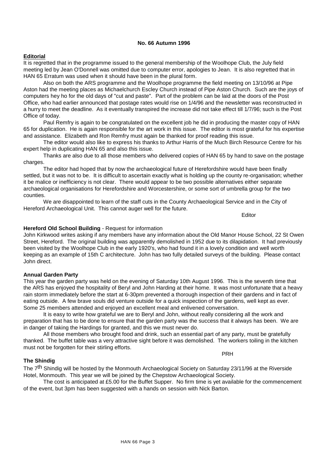# **No. 66 Autumn 1996**

# **Editorial**

It is regretted that in the programme issued to the general membership of the Woolhope Club, the July field meeting led by Jean O'Donnell was omitted due to computer error, apologies to Jean. It is also regretted that in HAN 65 Erratum was used when it should have been in the plural form.

Also on both the ARS programme and the Woolhope programme the field meeting on 13/10/96 at Pipe Aston had the meeting places as Michaelchurch Escley Church instead of Pipe Aston Church. Such are the joys of computers hey ho for the old days of "cut and paste". Part of the problem can be laid at the doors of the Post Office, who had earlier announced that postage rates would rise on 1/4/96 and the newsletter was reconstructed in a hurry to meet the deadline. As it eventually transpired the increase did not take effect till 1/7/96; such is the Post Office of today.

Paul Remfry is again to be congratulated on the excellent job he did in producing the master copy of HAN 65 for duplication. He is again responsible for the art work in this issue. The editor is most grateful for his expertise and assistance. Elizabeth and Ron Remfry must again be thanked for proof reading this issue.

The editor would also like to express his thanks to Arthur Harris of the Much Birch Resource Centre for his expert help in duplicating HAN 65 and also this issue.

Thanks are also due to all those members who delivered copies of HAN 65 by hand to save on the postage charges.

The editor had hoped that by now the archaeological future of Herefordshire would have been finally settled, but it was not to be. It is difficult to ascertain exactly what is holding up the county re-organisation; whether it be malice or inefficiency is not clear. There would appear to be two possible alternatives either separate archaeological organisations for Herefordshire and Worcestershire, or some sort of umbrella group for the two counties.

We are disappointed to learn of the staff cuts in the County Archaeological Service and in the City of Hereford Archaeological Unit. This cannot auger well for the future.

Editor

#### **Hereford Old School Building** - Request for information

John Kirkwood writes asking if any members have any information about the Old Manor House School, 22 St Owen Street, Hereford. The original building was apparently demolished in 1952 due to its dilapidation. It had previously been visited by the Woolhope Club in the early 1920's, who had found it in a lovely condition and well worth keeping as an example of 15th C architecture. John has two fully detailed surveys of the building. Please contact John direct.

#### **Annual Garden Party**

This year the garden party was held on the evening of Saturday 10th August 1996. This is the seventh time that the ARS has enjoyed the hospitality of Beryl and John Harding at their home. It was most unfortunate that a heavy rain storm immediately before the start at 6-30pm prevented a thorough inspection of their gardens and in fact of eating outside. A few brave souls did venture outside for a quick inspection of the gardens, well kept as ever. Some 25 members attended and enjoyed an excellent meal and enlivened conversation.

It is easy to write how grateful we are to Beryl and John, without really considering all the work and preparation that has to be done to ensure that the garden party was the success that it always has been. We are in danger of taking the Hardings for granted, and this we must never do.

All those members who brought food and drink, such an essential part of any party, must be gratefully thanked. The buffet table was a very attractive sight before it was demolished. The workers toiling in the kitchen must not be forgotten for their stirling efforts.

#### **The Shindig**

The 7<sup>th</sup> Shindig will be hosted by the Monmouth Archaeological Society on Saturday 23/11/96 at the Riverside Hotel, Monmouth. This year we will be joined by the Chepstow Archaeological Society.

The cost is anticipated at £5.00 for the Buffet Supper. No firm time is yet available for the commencement of the event, but 3pm has been suggested with a hands on session with Nick Barton.

PRH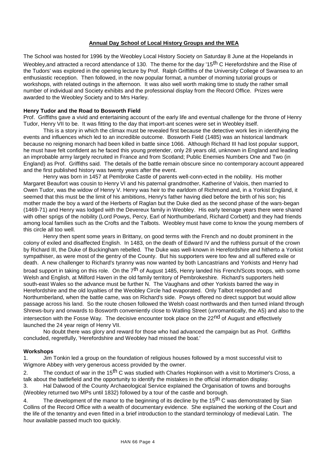# **Annual Day School of Local History Groups and the WEA**

The School was hosted for 1996 by the Weobley Local History Society on Saturday 8 June at the Hopelands in Weobley, and attracted a record attendance of 130. The theme for the day '15<sup>th</sup> C Herefordshire and the Rise of the Tudors' was explored in the opening lecture by Prof. Ralph Griffiths of the University College of Swansea to an enthusiastic reception. Then followed, in the now popular format, a number of morning tutorial groups or workshops, with related outings in the afternoon. It was also well worth making time to study the rather small number of individual and Society exhibits and the professional display from the Record Office. Prizes were awarded to the Weobley Society and to Mrs Harley.

#### **Henry Tudor and the Road to Bosworth Field**

Prof. Griffiths gave a vivid and entertaining account of the early life and eventual challenge for the throne of Henry Tudor, Henry VII to be. It was fitting to the day that import-ant scenes were set in Weobley itself.

This is a story in which the climax must be revealed first because the detective work lies in identifying the events and influences which led to an incredible outcome. Bosworth Field (1485) was an historical landmark because no reigning monarch had been killed in battle since 1066. Although Richard III had lost popular support, he must have felt confident as he faced this young pretender, only 28 years old, unknown in England and leading an improbable army largely recruited in France and from Scotland; Public Enemies Numbers One and Two (in England) as Prof. Griffiths said. The details of the battle remain obscure since no contemporary account appeared and the first published history was twenty years after the event.

Henry was born in 1457 at Pembroke Castle of parents well-conn-ected in the nobility. His mother Margaret Beaufort was cousin to Henry VI and his paternal grandmother, Katherine of Valois, then married to Owen Tudor, was the widow of Henry V. Henry was heir to the earldom of Richmond and, in a Yorkist England, it seemed that this must be the limit of his ambitions, Henry's father having died before the birth of his son; his mother made the boy a ward of the Herberts of Raglan but the Duke died as the second phase of the wars-began (1469-71) and Henry was lodged with the Devereux family in Weobley. His early teenage years there were shared with other sprigs of the nobility (Lord Powys, Percy, Earl of Northumberland, Richard Corbett) and they had friends among local families such as the Crofts and the Talbots. Weobley must have come to know the young members of this circle all too well.

Henry then spent some years in Brittany, on good terms with the French and no doubt prominent in the colony of exiled and disaffected English. In 1483, on the death of Edward IV and the ruthless pursuit of the crown by Richard III, the Duke of Buckingham rebelled. The Duke was well-known in Herefordshire and hitherto a Yorkist sympathiser, as were most of the gentry of the County. But his supporters were too few and all suffered exile or death. A new challenger to Richard's tyranny was now wanted by both Lancastrians and Yorkists and Henry had broad support in taking on this role. On the 7<sup>th</sup> of August 1485, Henry landed his French/Scots troops, with some Welsh and English, at Milford Haven in the old family territory of Pembrokeshire. Richard's supporters held south-east Wales so the advance must be further N. The Vaughans and other Yorkists barred the way in Herefordshire and the old loyalties of the Weobley Circle had evaporated. Only Talbot responded and Northumberland, when the battle came, was on Richard's side. Powys offered no direct support but would allow passage across his land. So the route chosen followed the Welsh coast northwards and then turned inland through Shrews-bury and onwards to Bosworth conveniently close to Watling Street (unromantically, the A5) and also to the intersection with the Fosse Way. The decisive encounter took place on the 22<sup>nd</sup> of August and effectively launched the 24 year reign of Henry VII.

No doubt there was glory and reward for those who had advanced the campaign but as Prof. Griffiths concluded, regretfully, 'Herefordshire and Weobley had missed the boat.'

#### **Workshops**

1. Jim Tonkin led a group on the foundation of religious houses followed by a most successful visit to Wigmore Abbey with very generous access provided by the owner.

2. The conduct of war in the 15<sup>th</sup> C was studied with Charles Hopkinson with a visit to Mortimer's Cross, a talk about the battlefield and the opportunity to identify the mistakes in the official information display. 3. Hal Dalwood of the County Archaeological Service explained the Organisation of towns and boroughs (Weobley returned two MPs until 1832) followed by a tour of the castle and borough.

4. The development of the manor to the beginning of its decline by the 15<sup>th</sup> C was demonstrated by Sian Collins of the Record Office with a wealth of documentary evidence. She explained the working of the Court and the life of the tenantry and even fitted in a brief introduction to the standard terminology of medieval Latin. The hour available passed much too quickly.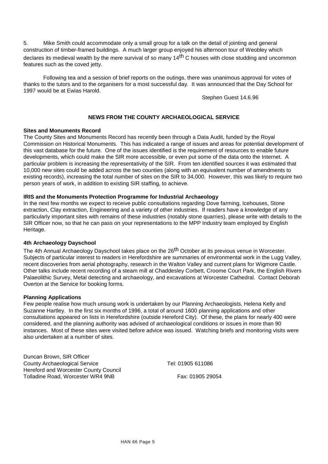5. Mike Smith could accommodate only a small group for a talk on the detail of jointing and general construction of timber-framed buildings. A much larger group enjoyed his afternoon tour of Weobley which declares its medieval wealth by the mere survival of so many 14<sup>th</sup> C houses with close studding and uncommon features such as the coved jetty.

Following tea and a session of brief reports on the outings, there was unanimous approval for votes of thanks to the tutors and to the organisers for a most successful day. It was announced that the Day School for 1997 would be at Ewias Harold.

Stephen Guest 14.6.96

# **NEWS FROM THE COUNTY ARCHAEOLOGICAL SERVICE**

# **Sites and Monuments Record**

The County Sites and Monuments Record has recently been through a Data Audit, funded by the Royal Commission on Historical Monuments. This has indicated a range of issues and areas for potential development of this vast database for the future. One of the issues identified is the requirement of resources to enable future developments, which could make the SIR more accessible, or even put some of the data onto the Internet. A particular problem is increasing the representativity of the SIR. From ten identified sources it was estimated that 10,000 new sites could be added across the two counties (along with an equivalent number of amendments to existing records), increasing the total number of sites on the SIR to 34,000. However, this was likely to require two person years of work, in addition to existing SIR staffing, to achieve.

# **IRIS and the Monuments Protection Programme for Industrial Archaeology**

In the next few months we expect to receive public consultations regarding Dove farming, Icehouses, Stone extraction, Clay extraction, Engineering and a variety of other industries. If readers have a knowledge of any particularly important sites with remains of these industries (notably stone quarries), please write with details to the SIR Officer now, so that he can pass on your representations to the MPP Industry team employed by English Heritage.

#### **4th Archaeology Dayschool**

The 4th Annual Archaeology Dayschool takes place on the 26<sup>th</sup> October at its previous venue in Worcester. Subjects of particular interest to readers in Herefordshire are summaries of environmental work in the Lugg Valley, recent discoveries from aerial photography, research in the Walton Valley and current plans for Wigmore Castle. Other talks include recent recording of a steam mill at Chaddesley Corbett, Croome Court Park, the English Rivers Palaeolithic Survey, Metal detecting and archaeology, and excavations at Worcester Cathedral. Contact Deborah Overton at the Service for booking forms.

#### **Planning Applications**

Few people realise how much unsung work is undertaken by our Planning Archaeologists, Helena Kelly and Suzanne Hartley. In the first six months of 1996, a total of around 1600 planning applications and other consultations appeared on lists in Herefordshire (outside Hereford City). Of these, the plans for nearly 400 were considered, and the planning authority was advised of archaeological conditions or issues in more than 90 instances. Most of these sites were visited before advice was issued. Watching briefs and monitoring visits were also undertaken at a number of sites.

Duncan Brown, SIR Officer County Archaeological Service Tel: 01905 611086 Hereford and Worcester County Council Tolladine Road, Worcester WR4 9NB Fax: 01905 29054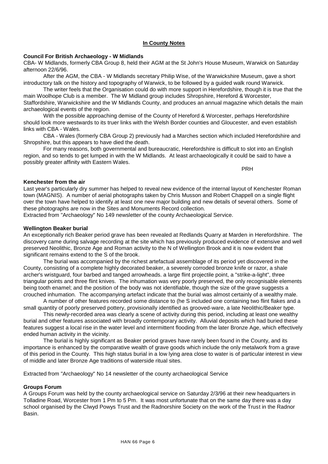#### **In County Notes**

#### **Council For British Archaeology - W Midlands**

CBA- W Midlands, formerly CBA Group 8, held their AGM at the St John's House Museum, Warwick on Saturday afternoon 22/6/96.

After the AGM, the CBA - W Midlands secretary Philip Wise, of the Warwickshire Museum, gave a short introductory talk on the history and topography of Warwick, to be followed by a guided walk round Warwick.

The writer feels that the Organisation could do with more support in Herefordshire, though it is true that the main Woolhope Club is a member. The W Midland group includes Shropshire, Hereford & Worcester, Staffordshire, Warwickshire and the W Midlands County, and produces an annual magazine which details the main archaeological events of the region.

With the possible approaching demise of the County of Hereford & Worcester, perhaps Herefordshire should look more westwards to its truer links with the Welsh Border counties and Gloucester, and even establish links with CBA - Wales.

CBA - Wales (formerly CBA Group 2) previously had a Marches section which included Herefordshire and Shropshire, but this appears to have died the death.

For many reasons, both governmental and bureaucratic, Herefordshire is difficult to slot into an English region, and so tends to get lumped in with the W Midlands. At least archaeologically it could be said to have a possibly greater affinity with Eastern Wales.

PRH

#### **Kenchester from the air**

Last year's particularly dry summer has helped to reveal new evidence of the internal layout of Kenchester Roman town (MAGNIS). A number of aerial photographs taken by Chris Musson and Robert Chappell on a single flight over the town have helped to identify at least one new major building and new details of several others. Some of these photographs are now in the Sites and Monuments Record collection.

Extracted from "Archaeology" No 149 newsletter of the county Archaeological Service.

# **Wellington Beaker burial**

An exceptionally rich Beaker period grave has been revealed at Redlands Quarry at Marden in Herefordshire. The discovery came during salvage recording at the site which has previously produced evidence of extensive and well preserved Neolithic, Bronze Age and Roman activity to the N of Wellington Brook and it is now evident that significant remains extend to the S of the brook.

The burial was accompanied by the richest artefactual assemblage of its period yet discovered in the County, consisting of a complete highly decorated beaker, a severely corroded bronze knife or razor, a shale archer's wristguard, four barbed and tanged arrowheads. a large flint projectile point, a "strike-a-light", three triangular points and three flint knives. The inhumation was very poorly preserved, the only recognisable elements being tooth enamel; and the position of the body was not identifiable, though the size of the grave suggests a crouched inhumation. The accompanying artefact indicate that the burial was almost certainly of a wealthy male.

A number of other features recorded some distance to (he S included one containing two flint flakes and a small quantity of poorly preserved pottery, provisionally identified as grooved-ware, a late Neolithic/Beaker type.

This newly-recorded area was clearly a scene of activity during this period, including at least one wealthy burial and other features associated with broadly contemporary activity. Alluvial deposits which had buried these features suggest a local rise in the water level and intermittent flooding from the later Bronze Age, which effectively ended human activity in the vicinity.

The burial is highly significant as Beaker period graves have rarely been found in the County, and its importance is enhanced by the comparative wealth of grave goods which include the only metalwork from a grave of this period in the County. This high status burial in a low lying area close to water is of particular interest in view of middle and later Bronze Age traditions of waterside ritual sites.

Extracted from "Archaeology" No 14 newsletter of the county archaeological Service

#### **Groups Forum**

A Groups Forum was held by the county archaeological service on Saturday 2/3/96 at their new headquarters in Tolladine Road, Worcester from 1 Pm to 5 Pm. It was most unfortunate that on the same day there was a day school organised by the Clwyd Powys Trust and the Radnorshire Society on the work of the Trust in the Radnor Basin.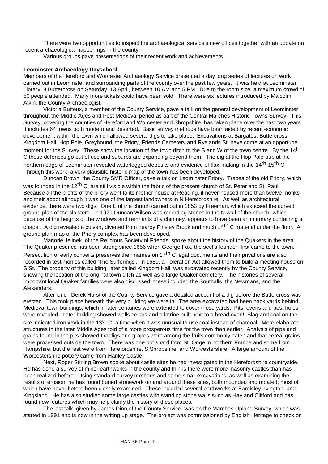There were two opportunities to inspect the archaeological service's new offices together with an update on recent archaeological happenings in the county.

Various groups gave presentations of their recent work and achievements.

#### **Leominster Archaeology Dayschool**

Members of the Hereford and Worcester Archaeology Service presented a day long series of lectures on work carried out in Leominster and surrounding parts of the county over the past few years. It was held at Leominster Library, 8 Buttercross on Saturday, 13 April, between 10 AM and 5 PM. Due to the room size, a maximum crowd of 50 people attended. Many more tickets could have been sold. There were six lectures introduced by Malcolm Atkin, the County Archaeologist.

Victoria Butteux, a member of the County Service, gave a talk on the general development of Leominster throughout the Middle Ages and Post Medieval period as part of the Central Marches Historic Towns Survey. This Survey, covering the counties of Hereford and Worcester and Shropshire, has taken place over the past two years. It includes 64 towns both modern and deserted. Basic survey methods have been aided by recent economic development within the town which allowed several digs to take place. Excavations at Bargates, Buttercross, Kingdom Hall, Hop Pole, Greyhound, the Priory, Friends Cemetery and Ryelands St. have come at an opportune moment for the Survey. These show the location of the town ditch to the S and W of the town centre. By the 14<sup>th</sup> C these defences go out of use and suburbs are expanding beyond them. The dig at the Hop Pole pub at the northern edge of Leominster revealed waterlogged deposits and evidence of flax-making in the 14<sup>th</sup>-15<sup>th</sup> C. Through this work, a very plausible historic map of the town has been developed.

Duncan Brown, the County SMR Officer, gave a talk on Leominster Priory. Traces of the old Priory, which was founded in the 12<sup>th</sup> C, are still visible within the fabric of the present church of St. Peter and St. Paul. Because all the profits of the priory went to its mother house at Reading, it never housed more than twelve monks and their abbot although it was one of the largest landowners in N Herefordshire. As well as architectural evidence, there were two digs. One E of the church carried out in 1853 by Freeman, which exposed the curved ground plan of the cloisters. In 1979 Duncan Wilson was recording stones in the N wall of the church, which because of the heights of the windows and remnants of a chimney, appears to have been an infirmary containing a chapel. A dig revealed a culvert, diverted from nearby Pinsley Brook and much 14th C material under the floor. A ground plan map of the Priory complex has been developed.

Marjorie Jelinek, of the Religious Society of Friends, spoke about the history of the Quakers in the area. The Quaker presence has been strong since 1656 when George Fox, the sect's founder, first came to the town. Persecution of early converts preserves their names on 17<sup>th</sup> C legal documents and their privations are also recorded in testimonies called 'The Sufferings'. In 1689, a Toleration Act allowed them to build a meeting house on S St. The property of this building, later called Kingdom Hall, was excavated recently by the County Service, showing the location of the original town ditch as well as a large Quaker cemetery. The histories of several important local Quaker families were also discussed, these included the Southalls, the Newmans, and the Alexanders.

After lunch Derek Hurst of the County Service gave a detailed account of a dig before the Buttercross was erected. This took place beneath the very building we were in. The area excavated had been back yards behind Medieval town buildings, which in later centuries were extended to cover those yards. Pits, ovens and post holes were revealed. Later building showed walls cellars and a latrine built next to a bread oven! Slag and coal on the site indicated iron work in the 13<sup>th</sup> C, a time when it was unusual to use coal instead of charcoal. More elaborate structures in the later Middle Ages told of a more prosperous time for the town than earlier. Analysis of pips and grains found in the pits showed that figs and grapes were among the fruits commonly eaten and that cereal grains were processed outside the town. There was one pot shard from St. Onge in northern France and some from Hampshire, but the rest were from Herefordshire, S Shropshire, and Worcestershire. A large amount of the Worcestershire pottery came from Hanley Castle.

Next, Roger Stirling Brown spoke about castle sites he had investigated in the Herefordshire countryside. He has done a survey of minor earthworks in the county and thinks there were more masonry castles than has been realized before. Using standard survey methods and some small excavations, as well as examining the results of erosion, he has found buried stonework on and around these sites, both mounded and moated, most of which have never before been closely examined. These included several earthworks at Eardisley, Ivington, and Kingsland. He has also studied some large castles with standing stone walls such as Hay and Clifford and has found new features which may help clarify the history of these places.

The last talk, given by James Dinn of the County Service, was on the Marches Upland Survey, which was started in 1991 and is now in the writing up stage. The project was commissioned by English Heritage to check on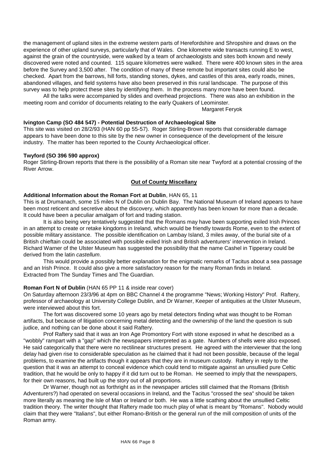the management of upland sites in the extreme western parts of Herefordshire and Shropshire and draws on the experience of other upland surveys, particularly that of Wales. One kilometre wide transacts running E to west, against the grain of the countryside, were walked by a team of archaeologists and sites both known and newly discovered were noted and counted. 115 square kilometres were walked. There were 400 known sites in the area before the Survey and 3,500 after. The condition of many of these remote but important sites could also be checked. Apart from the barrows, hill forts, standing stones, dykes, and castles of this area, early roads, mines, abandoned villages, and field systems have also been preserved in this rural landscape. The purpose of this survey was to help protect these sites by identifying them. In the process many more have been found.

All the talks were accompanied by slides and overhead projections. There was also an exhibition in the meeting room and corridor of documents relating to the early Quakers of Leominster.

Margaret Feryok

# **Ivington Camp (SO 484 547) - Potential Destruction of Archaeological Site**

This site was visited on 28/2/93 (HAN 60 pp 55-57). Roger Stirling-Brown reports that considerable damage appears to have been done to this site by the new owner in consequence of the development of the leisure industry. The matter has been reported to the County Archaeological officer.

# **Twyford (SO 396 590 approx)**

Roger Stirling-Brown reports that there is the possibility of a Roman site near Twyford at a potential crossing of the River Arrow.

# **Out of County Miscellany**

# **Additional Information about the Roman Fort at Dublin**, HAN 65, 11

This is at Drumanach, some 15 miles N of Dublin on Dublin Bay. The National Museum of Ireland appears to have been most reticent and secretive about the discovery, which apparently has been known for more than a decade. It could have been a peculiar amalgam of fort and trading station.

It is also being very tentatively suggested that the Romans may have been supporting exiled Irish Princes in an attempt to create or retake kingdoms in Ireland, which would be friendly towards Rome, even to the extent of possible military assistance. The possible identification on Lambay Island, 3 miles away, of the burial site of a British chieftain could be associated with possible exiled Irish and British adventurers' intervention in Ireland. Richard Warner of the Ulster Museum has suggested the possibility that the name Cashel in Tipperary could be derived from the latin *castellum*.

This would provide a possibly better explanation for the enigmatic remarks of Tacitus about a sea passage and an Irish Prince. It could also give a more satisfactory reason for the many Roman finds in Ireland. Extracted from The Sunday Times and The Guardian.

#### **Roman Fort N of Dublin** (HAN 65 PP 11 & inside rear cover)

On Saturday afternoon 23/3/96 at 4pm on BBC Channel 4 the programme "News; Working History" Prof. Raftery, professor of archaeology at University College Dublin, and Dr Warner, Keeper of antiquities at the Ulster Museum, were interviewed about this fort.

The fort was discovered some 10 years ago by metal detectors finding what was thought to be Roman artifacts, but because of litigation concerning metal detecting and the ownership of the land the question is sub judice, and nothing can be done about it said Raftery.

Prof Raftery said that it was an Iron Age Promontory Fort with stone exposed in what he described as a "wobbly" rampart with a "gap" which the newspapers interpreted as a gate. Numbers of shells were also exposed. He said categorically that there were no rectilinear structures present. He agreed with the interviewer that the long delay had given rise to considerable speculation as he claimed that it had not been possible, because of the legal problems, to examine the artifacts though it appears that they are in museum custody. Raftery in reply to the question that it was an attempt to conceal evidence which could tend to mitigate against an unsullied pure Celtic tradition, that he would be only to happy if it did turn out to be Roman. He seemed to imply that the newspapers, for their own reasons, had built up the story out of all proportions.

Dr Warner, though not as forthright as in the newspaper articles still claimed that the Romans (British Adventurers?) had operated on several occasions in Ireland, and the Tacitus "crossed the sea" should be taken more literally as meaning the Isle of Man or Ireland or both. He was a little scathing about the unsullied Celtic tradition theory. The writer thought that Raftery made too much play of what is meant by "Romans". Nobody would claim that they were "Italians", but either Romano-British or the general run of the mill composition of units of the Roman army.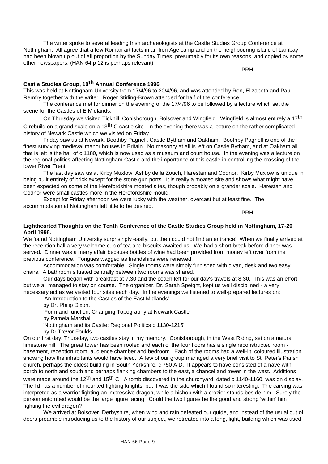The writer spoke to several leading Irish archaeologists at the Castle Studies Group Conference at Nottingham. All agree that a few Roman artifacts in an Iron Age camp and on the neighbouring island of Lambay had been blown up out of all proportion by the Sunday Times, presumably for its own reasons, and copied by some other newspapers. (HAN 64 p 12 is perhaps relevant)

PRH

# **Castle Studies Group, 10th Annual Conference 1996**

This was held at Nottingham University from 17/4/96 to 20/4/96, and was attended by Ron, Elizabeth and Paul Remfry together with the writer. Roger Stirling-Brown attended for half of the conference.

The conference met for dinner on the evening of the 17/4/96 to be followed by a lecture which set the scene for the Castles of E Midlands.

On Thursday we visited Tickhill, Conisborough, Bolsover and Wingfield. Wingfield is almost entirely a 17<sup>th</sup> C rebuild on a grand scale on a 13<sup>th</sup> C castle site. In the evening there was a lecture on the rather complicated history of Newark Castle which we visited on Friday.

Friday saw us at Newark, Boothby Pagnell, Castle Bytham and Oakham. Boothby Pagnell is one of the finest surviving medieval manor houses in Britain. No masonry at all is left on Castle Bytham, and at Oakham all that is left is the hall of c.1180, which is now used as a museum and court house. In the evening was a lecture on the regional politics affecting Nottingham Castle and the importance of this castle in controlling the crossing of the lower River Trent.

The last day saw us at Kirby Muxlow, Ashby de la Zouch, Harestan and Codnor. Kirby Muxlow is unique in being built entirely of brick except for the stone gun ports. It is really a moated site and shows what might have been expected on some of the Herefordshire moated sites, though probably on a grander scale. Harestan and Codnor were small castles more in the Herefordshire mould.

Except for Friday afternoon we were lucky with the weather, overcast but at least fine. The accommodation at Nottingham left little to be desired.

PRH

# **Lighthearted Thoughts on the Tenth Conference of the Castle Studies Group held in Nottingham, 17-20 April 1996.**

We found Nottingham University surprisingly easily, but then could not find an entrance! When we finally arrived at the reception hall a very welcome cup of tea and biscuits awaited us. We had a short break before dinner was served. Dinner was a merry affair because bottles of wine had been provided from money left over from the previous conference. Tongues wagged as friendships were renewed.

Accommodation was comfortable. Single rooms were simply furnished with divan, desk and two easy chairs. A bathroom situated centrally between two rooms was shared.

Our days began with breakfast at 7.30 and the coach left for our day's travels at 8.30. This was an effort, but we all managed to stay on course. The organizer, Dr. Sarah Speight, kept us well disciplined - a very necessary act as we visited four sites each day. In the evenings we listened to well-prepared lectures on:

'An Introduction to the Castles of the East Midlands' by Dr. Philip Dixon.

'Form and function: Changing Topography at Newark Castle' by Pamela Marshall 'Nottingham and its Castle: Regional Politics c.1130-1215' by Dr Trevor Foulds

On our first day, Thursday, two castles stay in my memory. Conisborough, in the West Riding, set on a natural limestone hill. The great tower has been roofed and each of the four floors has a single reconstructed room basement, reception room, audience chamber and bedroom. Each of the rooms had a well-lit, coloured illustration showing how the inhabitants would have lived. A few of our group managed a very brief visit to St. Peter's Parish church, perhaps the oldest building in South Yorkshire, c 750 A D. It appears to have consisted of a nave with porch to north and south and perhaps flanking chambers to the east, a chancel and tower in the west. Additions

were made around the 12<sup>th</sup> and 15<sup>th</sup> C. A tomb discovered in the churchyard, dated c 1140-1160, was on display. The lid has a number of mounted fighting knights, but it was the side which I found so interesting. The carving was interpreted as a warrior fighting an impressive dragon, while a bishop with a crozier stands beside him. Surely the person entombed would be the large figure facing. Could the two figures be the good and strong 'within' him fighting the evil dragon?

We arrived at Bolsover, Derbyshire, when wind and rain defeated our guide, and instead of the usual out of doors preamble introducing us to the history of our subject, we retreated into a long, light, building which was used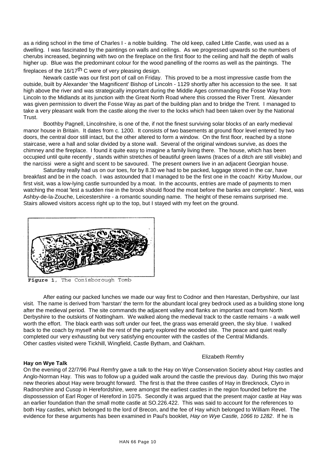as a riding school in the time of Charles I - a noble building. The old keep, called Little Castle, was used as a dwelling. I was fascinated by the paintings on walls and ceilings. As we progressed upwards so the numbers of cherubs increased, beginning with two on the fireplace on the first floor to the ceiling and half the depth of walls higher up. Blue was the predominant colour for the wood panelling of the rooms as well as the paintings. The fireplaces of the  $16/17$ <sup>th</sup> C were of very pleasing design.

Newark castle was our first port of call on Friday. This proved to be a most impressive castle from the outside, built by Alexander 'the Magnificent' Bishop of Lincoln - 1129 shortly after his accession to the see. It sat high above the river and was strategically important during the Middle Ages commanding the Fosse Way from Lincoln to the Midlands at its junction with the Great North Road where this crossed the River Trent. Alexander was given permission to divert the Fosse Way as part of the building plan and to bridge the Trent. I managed to take a very pleasant walk from the castle along the river to the locks which had been taken over by the National Trust.

Boothby Pagnell, Lincolnshire, is one of the, if not the finest surviving solar blocks of an early medieval manor house in Britain. It dates from c. 1200. It consists of two basements at ground floor level entered by two doors, the central door still intact, but the other altered to form a window. On the first floor, reached by a stone staircase, were a hall and solar divided by a stone wall. Several of the original windows survive, as does the chimney and the fireplace. I found it quite easy to imagine a family living there. The house, which has been occupied until quite recently , stands within stretches of beautiful green lawns (traces of a ditch are still visible) and the narcissi were a sight and scent to be savoured. The present owners live in an adjacent Georgian house.

Saturday really had us on our toes, for by 8.30 we had to be packed, luggage stored in the car, have breakfast and be in the coach. I was astounded that I managed to be the first one in the coach! Kirby Muxlow, our first visit, was a low-lying castle surrounded by a moat. In the accounts, entries are made of payments to men watching the moat 'lest a sudden rise in the brook should flood the moat before the banks are complete'. Next, was Ashby-de-la-Zouche, Leicestershire - a romantic sounding name. The height of these remains surprised me. Stairs allowed visitors access right up to the top, but I stayed with my feet on the ground.



1, The Conisborough Tomb Figure

After eating our packed lunches we made our way first to Codnor and then Harestan, Derbyshire, our last visit. The name is derived from 'harstan' the term for the abundant local grey bedrock used as a building stone long after the medieval period. The site commands the adjacent valley and flanks an important road from North Derbyshire to the outskirts of Nottingham. We walked along the medieval track to the castle remains - a walk well worth the effort. The black earth was soft under our feet, the grass was emerald green, the sky blue. I walked back to the coach by myself while the rest of the party explored the wooded site. The peace and quiet really completed our very exhausting but very satisfying encounter with the castles of the Central Midlands. Other castles visited were Tickhill, Wingfield, Castle Bytham, and Oakham.

# Elizabeth Remfry

#### **Hay on Wye Talk**

On the evening of 22/7/96 Paul Remfry gave a talk to the Hay on Wye Conservation Society about Hay castles and Anglo-Norman Hay. This was to follow up a guided walk around the castle the previous day. During this two major new theories about Hay were brought forward. The first is that the three castles of Hay in Brecknock, Clyro in Radnorshire and Cusop in Herefordshire, were amongst the earliest castles in the region founded before the dispossession of Earl Roger of Hereford in 1075. Secondly it was argued that the present major castle at Hay was an earlier foundation than the small motte castle at SO.226.422. This was said to account for the references to both Hay castles, which belonged to the lord of Brecon, and the fee of Hay which belonged to William Revel. The evidence for these arguments has been examined in Paul's booklet, *Hay on Wye Castle, 1066 to 1282*. If he is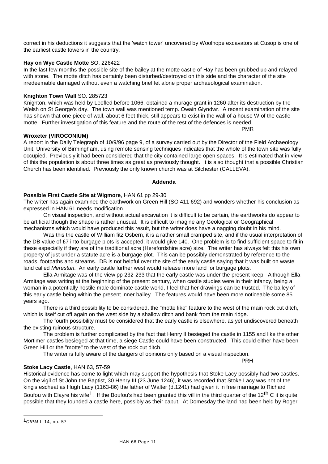correct in his deductions it suggests that the 'watch tower' uncovered by Woolhope excavators at Cusop is one of the earliest castle towers in the country.

# **Hay on Wye Castle Motte** SO. 226422

In the last few months the possible site of the bailey at the motte castle of Hay has been grubbed up and relayed with stone. The motte ditch has certainly been disturbed/destroyed on this side and the character of the site irredeemable damaged without even a watching brief let alone proper archaeological examination.

# **Knighton Town Wall** SO. 285723

Knighton, which was held by Leofled before 1066, obtained a murage grant in 1260 after its destruction by the Welsh on St George's day. The town wall was mentioned temp. Owain Glyndwr. A recent examination of the site has shown that one piece of wall, about 6 feet thick, still appears to exist in the wall of a house W of the castle motte. Further investigation of this feature and the route of the rest of the defences is needed.

# **Wroxeter (VIROCONIUM)**

A report in the Daily Telegraph of 10/9/96 page 9, of a survey carried out by the Director of the Field Archaeology Unit, University of Birmingham, using remote sensing techniques indicates that the whole of the town site was fully occupied. Previously it had been considered that the city contained large open spaces. It is estimated that in view of this the population is about three times as great as previously thought. It is also thought that a possible Christian Church has been identified. Previously the only known church was at Silchester (CALLEVA).

#### **Addenda**

# **Possible First Castle Site at Wigmore**, HAN 61 pp 29-30

The writer has again examined the earthwork on Green Hill (SO 411 692) and wonders whether his conclusion as expressed in HAN 61 needs modification.

On visual inspection, and without actual excavation it is difficult to be certain, the earthworks do appear to be artificial though the shape is rather unusual. It is difficult to imagine any Geological or Geographical mechanisms which would have produced this result, but the writer does have a nagging doubt in his mind.

Was this the castle of William fitz Osbern, it is a rather small cramped site, and if the usual interpretation of the DB value of £7 into burgage plots is accepted; it would give 140. One problem is to find sufficient space to fit in these especially if they are of the traditional acre (Herefordshire acre) size. The writer has always felt this his own property of just under a statute acre is a burgage plot. This can be possibly demonstrated by reference to the roads, footpaths and streams. DB is not helpful over the site of the early castle saying that it was built on waste land called *Merestun*. An early castle further west would release more land for burgage plots.

Ella Armitage was of the view pp 232-233 that the early castle was under the present keep. Although Ella Armitage was writing at the beginning of the present century, when castle studies were in their infancy, being a woman in a potentially hostile male dominate castle world, I feel that her drawings can be trusted. The bailey of this early castle being within the present inner bailey. The features would have been more noticeable some 85 years ago.

There is a third possibility to be considered, the "motte like" feature to the west of the main rock cut ditch, which is itself cut off again on the west side by a shallow ditch and bank from the main ridge.

The fourth possibility must be considered that the early castle is elsewhere, as yet undiscovered beneath the existing ruinous structure.

The problem is further complicated by the fact that Henry II besieged the castle in 1155 and like the other Mortimer castles besieged at that time, a siege Castle could have been constructed. This could either have been Green Hill or the "motte" to the west of the rock cut ditch.

The writer is fully aware of the dangers of opinions only based on a visual inspection.

PRH

PMR

# **Stoke Lacy Castle**, HAN 63, 57-59

Historical evidence has come to light which may support the hypothesis that Stoke Lacy possibly had two castles. On the vigil of St John the Baptist, 30 Henry III (23 June 1246), it was recorded that Stoke Lacy was not of the king's escheat as Hugh Lacy (1163-86) the father of Walter (d.1241) had given it in free marriage to Richard Boufou with Elayre his wife<sup>1</sup>. If the Boufou's had been granted this vill in the third quarter of the 12<sup>th</sup> C it is quite possible that they founded a castle here, possibly as their caput. At Domesday the land had been held by Roger

<sup>1</sup>*CIPM* I, 14, no. 57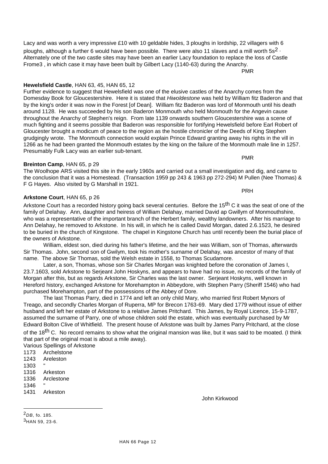Lacy and was worth a very impressive £10 with 10 geldable hides, 3 ploughs in lordship, 22 villagers with 6 ploughs, although a further 6 would have been possible. There were also 11 slaves and a mill worth  $5s<sup>2</sup>$ . Alternately one of the two castle sites may have been an earlier Lacy foundation to replace the loss of Castle Frome3 , in which case it may have been built by Gilbert Lacy (1140-63) during the Anarchy.

PMR

#### **Hewelsfield Castle**, HAN 63, 45, HAN 65, 12

Further evidence to suggest that Hewelsfield was one of the elusive castles of the Anarchy comes from the Domesday Book for Gloucestershire. Here it is stated that *Hiwoldestone* was held by William fitz Baderon and that by the king's order it was now in the Forest [of Dean]. William fitz Baderon was lord of Monmouth until his death around 1128. He was succeeded by his son Baderon Monmouth who held Monmouth for the Angevin cause throughout the Anarchy of Stephen's reign. From late 1139 onwards southern Gloucestershire was a scene of much fighting and it seems possible that Baderon was responsible for fortifying Hewelsfield before Earl Robert of Gloucester brought a modicum of peace to the region as the hostile chronicler of the Deeds of King Stephen grudgingly wrote. The Monmouth connection would explain Prince Edward granting away his rights in the vill in 1266 as he had been granted the Monmouth estates by the king on the failure of the Monmouth male line in 1257. Presumably Fulk Lacy was an earlier sub-tenant.

# **Breinton Camp**, HAN 65, p 29

The Woolhope ARS visited this site in the early 1960s and carried out a small investigation and dig, and came to the conclusion that it was a Homestead. (Transaction 1959 pp 243 & 1963 pp 272-294) M Pullen (Nee Thomas) & F G Hayes. Also visited by G Marshall in 1921.

# **Arkstone Court**, HAN 65, p 26

Arkstone Court has a recorded history going back several centuries. Before the 15<sup>th</sup> C it was the seat of one of the family of Delahay. Ann, daughter and heiress of William Delahay, married David ap Gwillym of Monmouthshire, who was a representative of the important branch of the Herbert family, wealthy landowners. After his marriage to Ann Delahay, he removed to Arkstone. In his will, in which he is called David Morgan, dated 2.6.1523, he desired to be buried in the church of Kingstone. The chapel in Kingstone Church has until recently been the burial place of the owners of Arkstone.

William, eldest son, died during his father's lifetime, and the heir was William, son of Thomas, afterwards Sir Thomas. John, second son of Gwilym, took his mother's surname of Delahay, was ancestor of many of that name. The above Sir Thomas, sold the Welsh estate in 1558, to Thomas Scudamore.

Later, a son, Thomas, whose son Sir Charles Morgan was knighted before the coronation of James I, 23.7.1603, sold Arkstone to Serjeant John Hoskyns, and appears to have had no issue, no records of the family of Morgan after this, but as regards Arkstone, Sir Charles was the last owner. Serjeant Hoskyns, well known in Hereford history, exchanged Arkstone for Morehampton in Abbeydore, with Stephen Parry (Sheriff 1546) who had purchased Morehampton, part of the possessions of the Abbey of Dore.

The last Thomas Parry, died in 1774 and left an only child Mary, who married first Robert Mynors of Treago, and secondly Charles Morgan of Ruperra, MP for Brecon 1763-69. Mary died 1779 without issue of either husband and left her estate of Arkstone to a relative James Pritchard. This James, by Royal Licence, 15-9-1787, assumed the surname of Parry, one of whose children sold the estate, which was eventually purchased by Mr Edward Bolton Clive of Whitfield. The present house of Arkstone was built by James Parry Pritchard, at the close of the 18<sup>th</sup> C. No record remains to show what the original mansion was like, but it was said to be moated. (I think that part of the original moat is about a mile away).

Various Spellings of Arkstone

- 1173 Archelstone
- 1243 Areleston
- 1303 "
- 1316 Arkeston
- 1336 Arclestone
- 1346 "
- 1431 Arkeston

John Kirkwood

2*DB*, fo. 185.

l

PRH

PMR

<sup>3</sup>HAN 59, 23-6.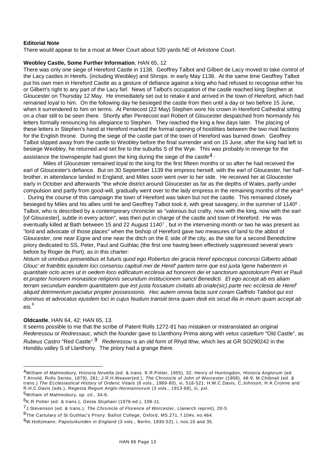# **Editorial Note**

There would appear to be a moat at Meer Court about 520 yards NE of Arkstone Court.

#### **Weobley Castle, Some Further Information**, HAN 65, 12

There was only one siege of Hereford Castle in 1138. Geoffrey Talbot and Gilbert de Lacy moved to take control of the Lacy castles in Herefs. (including Weobley) and Shrops. in early May 1138. At the same time Geoffrey Talbot put his own men in Hereford Castle as a gesture of defiance against a king who had refused to recognise either his or Gilbert's right to any part of the Lacy fief. News of Talbot's occupation of the castle reached king Stephen at Gloucester on Thursday 12 May. He immediately set out to retake it and arrived in the town of Hereford, which had remained loyal to him. On the following day he besieged the castle from then until a day or two before 15 June, when it surrendered to him on terms. At Pentecost (22 May) Stephen wore his crown in Hereford Cathedral sitting on a chair still to be seen there. Shortly after Pentecost earl Robert of Gloucester despatched from Normandy his letters formally renouncing his allegiance to Stephen. They reached the king a few days later. The placing of these letters in Stephen's hand at Hereford marked the formal opening of hostilities between the two rival factions for the English throne. During the siege of the castle part of the town of Hereford was burned down. Geoffrey Talbot slipped away from the castle to Weobley before the final surrender and on 15 June, after the king had left to besiege Weobley, he returned and set fire to the suburbs S of the Wye. This was probably in revenge for the assistance the townspeople had given the king during the siege of the castle<sup>4</sup>  $\cdot$ 

Miles of Gloucester remained loyal to the king for the first fifteen months or so after he had received the earl of Gloucester's defiance. But on 30 September 1139 the empress herself, with the earl of Gloucester, her halfbrother, in attendance landed in England, and Miles soon went over to her side. He received her at Gloucester early in October and afterwards "the whole district around Gloucester as far as the depths of Wales, partly under compulsion and partly from good-will, gradually went over to the lady empress in the remaining months of the year<sup>5</sup>

. During the course of this campaign the town of Hereford was taken but not the castle. This remained closely besieged by Miles and his allies until he and Geoffrey Talbot took it, with great savagery, in the summer of 1140<sup>6</sup> . Talbot, who is described by a contemporary chronicler as "valorous but crafty, now with the king, now with the earl [of Gloucester], subtle in every action", was then put in charge of the castle and town of Hereford. He was eventually killed at Bath between 15 and 22 August 1140<sup>7</sup> , but in the intervening month or two he was present as "lord and advocate of those places" when the bishop of Hereford gave two measures of land to the abbot of Gloucester, one near Eigne and one near the ditch on the E side of the city, as the site for a second Benedictine priory dedicated to SS, Peter, Paul and Guthlac (the first one having been effectively suppressed several years before by Roger de Port), as in this charter:

*Notum sit omnibus presentibus et futuris quod ego Robertus dei gracia Heref episcopus concessi Gilberto abbati Glouc' et fratribtis ejusdem loci consensu capituli mei de Heref' partem terre que est juxta Igene habentem in quantitate octo acres ut in oedem loco edificatum ecclesia ad honorem dei et sanctorum apostolorum Petri et Pauli et propter honorem monastice religionis secundum institucionem sancti Benedicti. Et ego accept ab eis aliam terram secundum eandem quantitatem que est justa fossatum civitatis ab oriale(sic) parte nec ecclesia de Heref' aliquid detrimentum paciatur propter possessionis. Hec autem omnia facta sunt coram Galfrido Talebot qui est dominus et advocatus ejusdem loci in cujus feudum transiit terra quam dedi eis sicud illa in meum quam accept ab eis.*<sup>8</sup>

# **Oldcastle**, HAN 64, 42; HAN 65, 13.

It seems possible to me that the scribe of Patent Rolls 1272-81 has mistaken or mistranslated an original *Rederessou* or *Redressauc*, which the founder gave to Llanthony Prima along with *vetus castellum* "Old Castle", as *Rubeus Castro* "Red Castle".9 *Rederessou* is an old form of Rhyd Ithw, which lies at GR SO290242 in the Honddu valley S of Llanthony. The priory had a grange there.

l

8The Cartulary of St Guthlac's Priory: Balliol College, Oxford, MS.271, f.104v, no.464.

<sup>4</sup>William of Malmesbury, *Historia Novella* (ed. & trans. K.R.Potter, 1955), 32; Henry of Huntingdon, *Historia Anglorum* (ed. T.Arnold, Rolls Series, 1879), 261; J.R.H.Weaver(ed.), *The Chronicle of John of Worcester* (1908), 48-9; M.Chibnall (ed. & trans.) *The Ecclesiastical History of Orderic Vitaiis* (6 vols., 1969-80), vi, 518-521; H.W.C.Davis, C.Johnson, H.A.Cronne and R.H.C.Davis (eds.), *Regesta Regum Anglo-Normannorum* (3 vols., 1913-68), iii, pxl.

<sup>5</sup>William of Malmesbury, *op. cit.*, 34-6.

<sup>6</sup>K.R.Potter (ed. & trans.), *Gesta Stcphani* (1976 ed.), 108-11.

<sup>7</sup>J.Stevenson (ed. & trans.), *The Chronicle of Florence of Worcester*, Llanerch reprint), 20-5.

<sup>9</sup>W.Holtzmann, *Papsturkunden in England* (3 vols., Berlin, 1930-52), i, nos.16 and 35.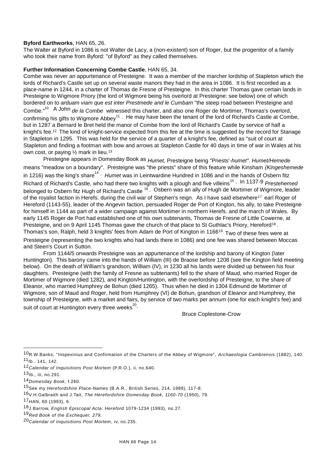# **Byford Earthworks**, HAN 65, 26.

The Walter at Byford in 1086 is not Walter de Lacy, a (non-existent) son of Roger, but the progenitor of a family who took their name from Byford: "of Byford" as they called themselves.

# **Further Information Concerning Combe Castle**, HAN 65, 34.

Combe was never an appurtenance of Presteigne. It was a member of the marcher lordship of Stapleton which the lords of Richard's Castle set up on several waste manors they had in the area in 1086. It is first recorded as a place-name in 1244, in a charter of Thomas de Fresne of Presteigne. In this charter Thomas gave certain lands in Presteigne to Wigmore Priory (the lord of Wigmore being his overlord at Presteigne: see below) one of which bordered on to *arduam viam que est inter Prestmede and le Cumbam* "the steep road between Presteigne and Combe."<sup>10</sup> A John *de la Combe* witnessed this charter, and also one Roger de Mortimer, Thomas's overlord, confirming his gifts to Wigmore Abbey<sup>11</sup> . He may have been the tenant of the lord of Richard's Castle at Combe, but in 1287 a Bernard le Bret held the manor of Combe from the lord of Richard's Castle by service of half a knight's fee.<sup>12</sup> The kind of knight-service expected from this fee at the time is suggested by the record for Stanage in Stapleton in 1295. This was held for the service of a quarter of a knight's fee, defined as "suit of court at Stapleton and finding a footman with bow and arrows at Stapleton Castle for 40 days in time of war in Wales at his own cost, or paying 1/2 mark in lieu.<sup>13</sup>

Presteigne appears in Domesday Book as *Humet,* Presteigne being "Priests'*-humet". Humet/Hemede*  means "meadow on a boundary". Presteigne was "the priests" share of this feature while Kinsham *(Kingeshemede*  in 1216) was the king's share<sup>14</sup> · *Humet* was in Leintwardine Hundred in 1086 and in the hands of Osbern fitz Richard of Richard's Castle, who had there two knights with a plough and five villeins<sup>15</sup> . In 1137-9 *Prestehemed*  belonged to Osbern fitz Hugh of Richard's Castle <sup>16</sup>. Osbern was an ally of Hugh de Mortimer of Wigmore, leader of the royalist faction in Herefs. during the civil war of Stephen's reign. As I have said elsewhere<sup>17</sup> earl Roger of Hereford (1143-55), leader of the Angevin faction, persuaded Roger de Port of Kington, his ally, to take Presteigne for himself in 1144 as part of a wider campaign against Mortimer in northern Herefs. and the march of Wales. By early 1145 Roger de Port had established one of his own subtenants, Thomas de Fresne of Little Cowerne, at Presteigne, and on 9 April 1145 Thomas gave the church of that place to St Guthlac's Priory, Hereford<sup>18</sup>. Thomas's son, Ralph, held 3 knights' fees from Adam de Port of Kington in 1166<sup>19</sup>. Two of these fees were at

Presteigne (representing the two knights who had lands there in 1086) and one fee was shared between Moccas and Steen's Court in Sutton.

From 1144/5 onwards Presteigne was an appurtenance of the lordship and barony of Kington (later Huntington). This barony came into the hands of William (III) de Braose before 1208 (see the Kington field meeting below). On the death of William's grandson, William (IV), in 1230 all his lands were divided up between his four daughters. Presteigne (with the family of Fresne as subtenants) fell to the share of Maud, who married Roger de Mortimer of Wigmore (died 1282), and Kington/Huntington, with the overlordship of Presteigne, to the share of Eleanor, who married Humphrey de Bohun (died 1265). Thus when he died in 1304 Edmund de Mortimer of Wigmore, son of Maud and Roger, held from Humphrey (VI) de Bohun, grandson of Eleanor and Humphrey, the township of Presteigne, with a market and fairs, by service of two marks per annum (one for each knight's fee) and suit of court at Huntington every three weeks $^{20} \cdot$ 

Bruce Coplestone-Crow

l

17HAN, 60 (1993), 6.

<sup>10</sup>R.W.Banks, "Inspexinius and Confirmation of the Charters of the Abbey of Wigmore", *Archaeologia Cambrensis* (1882), 140.  $11$ Ib., 141, 142.

<sup>12</sup>*Calendar of Inquisitions Post Mortem* (P.R.O.), ii, no.640.

 $13$ Ib., iii, no.291.

<sup>14</sup>*Domesday Book,* f.260.

<sup>15</sup>See my *Herefordshire Place-Names* (B.A.R., British Series, 214, 1989), 117-8.

<sup>16</sup>V.H.Galbraith and J.Tait, *The Herefordshire Domesday Book, 1160-70* (1950), 79.

<sup>18</sup>J.Barrow, *English Episcopal Acta: Hereford* 1079-1234 (1993), no.27.

<sup>19</sup>*Red Book of the Exchequer, 279.*

<sup>20</sup>*Calendar of Inquisitions Post Mortem*, iv, no.235.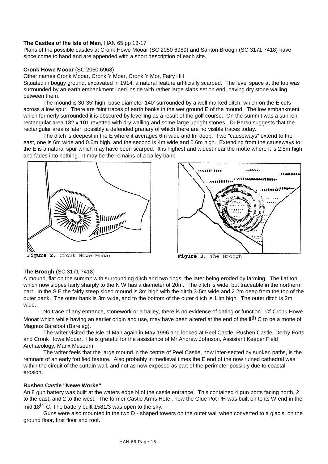# **The Castles of the Isle of Man**, HAN 65 pp 13-17

Plans of the possible castles at Cronk Howe Mooar (SC 2050 6989) and Santon Broogh (SC 3171 7418) have since come to hand and are appended with a short description of each site.

#### **Cronk Howe Mooar** (SC 2050 6968)

Other names Cronk Mooar, Cronk Y Moar, Cronk Y Mor, Fairy Hill

Situated in boggy ground, excavated in 1914, a natural feature artificially scarped. The level space at the top was surrounded by an earth embankment lined inside with rather large slabs set on end, having dry stone walling between them.

The mound is 30-35' high, base diameter 140' surrounded by a well marked ditch, which on the E cuts across a low spur. There are faint traces of earth banks in the wet ground E of the mound. The low embankment which formerly surrounded it is obscured by levelling as a result of the golf course. On the summit was a sunken rectangular area 182 x 101 revetted with dry walling and some large upright stones. Dr Bersu suggests that the rectangular area is later, possibly a defended granary of which there are no visible traces today.

The ditch is deepest in the E where it averages 6m wide and lm deep. Two "causeways" extend to the east, one is 6m wide and 0.6m high, and the second is 4m wide and 0.6m high. Extending from the causeways to the E is a natural spur which may have been scarped. It is highest and widest near the motte where it is 2.5m high and fades into nothing. It may be the remains of a bailey bank.



Figure 2, Cronk Howe Mooar



Figure 3, The Broogh

#### **The Broogh** (SC 3171 7418)

A mound, flat on the summit with surrounding ditch and two rings, the later being eroded by farming. The flat top which now slopes fairly sharply to the N W has a diameter of 20m. The ditch is wide, but traceable in the northern part. In the S E the fairly steep sided mound is 3m high with the ditch 3-5m wide and 2.2m deep from the top of the outer bank. The outer bank is 3m wide, and to the bottom of the outer ditch is 1.lm high. The outer ditch is 2m wide.

No trace of any entrance, stonework or a bailey, there is no evidence of dating or function. Cf Cronk Howe Mooar which while having an earlier origin and use, may have been altered at the end of the ll<sup>th</sup> C to be a motte of Magnus Barefoot (Bareleg).

The writer visited the Isle of Man again in May 1996 and looked at Peel Castle, Rushen Castle, Derby Forts and Cronk Howe Mooar. He is grateful for the assistance of Mr Andrew Johnson, Assistant Keeper Field Archaeology, Manx Museum.

The writer feels that the large mound in the centre of Peel Castle, now inter-sected by sunken paths, is the remnant of an early fortified feature. Also probably in medieval times the E end of the now ruined cathedral was within the circuit of the curtain wall, and not as now exposed as part of the perimeter possibly due to coastal erosion.

# **Rushen Castle "Newe Worke"**

An 8 gun battery was built at the waters edge N of the castle entrance. This contained 4 gun ports facing north, 2 to the east, and 2 to the west. The former Castle Arms Hotel, now the Glue Pot PH was built on to its W end in the mid 18<sup>th</sup> C. The battery built 1581/3 was open to the sky.

Guns were also mounted in the two D - shaped towers on the outer wall when converted to a glacis, on the ground floor, first floor and roof.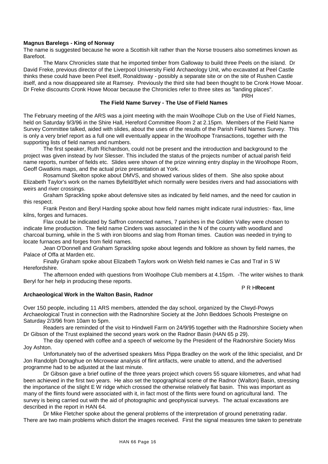# **Magnus Barelegs - King of Norway**

The name is suggested because he wore a Scottish kilt rather than the Norse trousers also sometimes known as Barefoot.

The Manx Chronicles state that he imported timber from Galloway to build three Peels on the island. Dr David Freke, previous director of the Liverpool University Field Archaeology Unit, who excavated at Peel Castle thinks these could have been Peel itself, Ronaldsway - possibly a separate site or on the site of Rushen Castle itself, and a now disappeared site at Ramsey. Previously the third site had been thought to be Cronk Howe Mooar. Dr Freke discounts Cronk Howe Mooar because the Chronicles refer to three sites as "landing places".

PRH

#### **The Field Name Survey - The Use of Field Names**

The February meeting of the ARS was a joint meeting with the main Woolhope Club on the Use of Field Names, held on Saturday 9/3/96 in the Shire Hall, Hereford Committee Room 2 at 2.15pm. Members of the Field Name Survey Committee talked, aided with slides, about the uses of the results of the Parish Field Names Survey. This is only a very brief report as a full one will eventually appear in the Woolhope Transactions, together with the supporting lists of field names and numbers.

The first speaker, Ruth Richardson, could not be present and the introduction and background to the project was given instead by Ivor Slesser. This included the status of the projects number of actual parish field name reports, number of fields etc. Slides were shown of the prize winning entry display in the Woolhope Room, Geoff Gwatkins maps, and the actual prize presentation at York.

Rosamund Skelton spoke about DMVS, and showed various slides of them. She also spoke about Elizabeth Taylor's work on the names Byfield/Bylet which normally were besides rivers and had associations with weirs and river crossings.

Graham Sprackling spoke about defensive sites as indicated by field names, and the need for caution in this respect.

Frank Pexton and Beryl Harding spoke about how field names might indicate rural industries:- flax, lime kilns, forges and furnaces.

Flax could be indicated by Saffron connected names, 7 parishes in the Golden Valley were chosen to indicate lime production. The field name Cinders was associated in the N of the county with woodland and charcoal burning, while in the S with iron blooms and slag from Roman times. Caution was needed in trying to locate furnaces and forges from field names.

Jean O'Donnell and Graham Sprackling spoke about legends and folklore as shown by field names, the Palace of Offa at Marden etc.

Finally Graham spoke about Elizabeth Taylors work on Welsh field names ie Cas and Traf in S W Herefordshire.

The afternoon ended with questions from Woolhope Club members at 4.15pm. -The writer wishes to thank Beryl for her help in producing these reports.

#### P R H**Recent**

#### **Archaeological Work in the Walton Basin, Radnor**

Over 150 people, including 11 ARS members, attended the day school, organized by the Clwyd-Powys Archaeological Trust in connection with the Radnorshire Society at the John Beddoes Schools Presteigne on Saturday 2/3/96 from 10am to 5pm.

Readers are reminded of the visit to Hindwell Farm on 24/9/95 together with the Radnorshire Society when Dr Gibson of the Trust explained the second years work on the Radnor Basin (HAN 65 p 29).

The day opened with coffee and a speech of welcome by the President of the Radnorshire Society Miss Joy Ashton.

Unfortunately two of the advertised speakers Miss Pippa Bradley on the work of the lithic specialist, and Dr Jon Randolph Donaghue on Microwear analysis of flint artifacts, were unable to attend, and the advertised programme had to be adjusted at the last minute.

Dr Gibson gave a brief outline of the three years project which covers 55 square kilometres, and what had been achieved in the first two years. He also set the topographical scene of the Radnor (Walton) Basin, stressing the importance of the slight E W ridge which crossed the otherwise relatively flat basin. This was important as many of the flints found were associated with it, in fact most of the flints were found on agricultural land. The survey is being carried out with the aid of photographic and geophysical surveys. The actual excavations are described in the report in HAN 64.

Dr Mike Fletcher spoke about the general problems of the interpretation of ground penetrating radar. There are two main problems which distort the images received. First the signal measures time taken to penetrate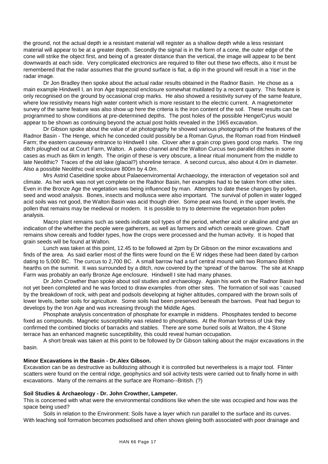the ground, not the actual depth ie a resistant material will register as a shallow depth while a less resistant material will appear to be at a greater depth. Secondly the signal is in the form of a cone, the outer edge of the cone will strike the object first, and being of a greater distance than the vertical, the image will appear to be bent downwards at each side. Very complicated electronics are required to filter out these two effects, also it must be remembered that the radar assumes that the ground surface is flat, a dip in the ground will result in a 'rise' in the radar image.

Dr Jon Bradley then spoke about the actual radar results obtained in the Radnor Basin. He chose as a main example Hindwell I, an Iron Age trapezoid enclosure somewhat mutilated by a recent quarry. This feature is only recognised on the ground by occasional crop marks. He also showed a resistivity survey of the same feature, where low resistivity means high water content which is more resistant to the electric current. A magnetometer survey of the same feature was also show up here the criteria is the iron content of the soil. These results can be programmed to show conditions at pre-determined depths. The post holes of the possible Henge/Cyrus would appear to be shown as continuing beyond the actual post holds revealed in the 1965 excavation.

Dr Gibson spoke about the value of air photography he showed various photographs of the features of the Radnor Basin - The Henge, which he conceded could possibly be a Roman Gyrus, the Roman road from Hindwell Farm; the eastern causeway entrance to Hindwell I site. Clover after a grain crop gives good crop marks. The ring ditch ploughed out at Court Farm, Walton. A paleo channel and the Walton Curcus two parallel ditches in some cases as much as 6km in length. The origin of these is very obscure, a linear ritual monument from the middle to late Neolithic? Traces of the old lake (glacial?) shoreline terrace. A second curcus, also about 4.0m in diameter. Also a possible Neolithic oval enclosure 800m by 4.0m.

Mrs Astrid Caseldine spoke about Palaeoenviromental Archaeology, the interaction of vegetation soil and climate. As her work was not yet complete on the Radnor Basin, her examples had to be taken from other sites. Even in the Bronze Age the vegetation was being influenced by man. Attempts to date these changes by pollen, seed and wood analysis. Bones, insects and mollusca were also important. The survival of pollen in water logged acid soils was not good, the Walton Basin was acid though drier. Some peat was found, in the upper levels, the pollen that remains may be medieval or modern. It is possible to try to determine the vegetation from pollen analysis.

Macro plant remains such as seeds indicate soil types of the period, whether acid or alkaline and give an indication of the whether the people were gatherers, as well as farmers and which cereals were grown. Chaff remains show cereals and fodder types, how the crops were processed and the human activity. It is hoped that grain seeds will be found at Walton.

Lunch was taken at this point, 12.45 to be followed at 2pm by Dr Gibson on the minor excavations and finds of the area. As said earlier most of the flints were found on the E W ridges these had been dated by carbon dating to 5,000 BC. The curcus to 2,700 BC. A small barrow had a turf central mound with two Romano British hearths on the summit. It was surrounded by a ditch, now covered by the 'spread' of the barrow. The site at Knapp Farm was probably an early Bronze Age enclosure. Hindwell I site had many phases.

Dr John Crowther than spoke about soil studies and archaeology. Again his work on the Radnor Basin had not yet been completed and he was forced to draw examples -from other sites. The formation of soil was ' caused by the breakdown of rock, with peat and podsols developing at higher altitudes, compared with the brown soils of lower levels, better soils for agriculture. Some soils had been preserved beneath the barrows. Peat had begun to develops by the Iron Age and was increasing through the Middle Ages.

Phosphate analysis concentration of phosphate for example in middens. Phosphates tended to become fixed as compounds. Magnetic susceptibility was related to phosphates. At the Roman fortress of Usk they confirmed the combined blocks of barracks and stables. There are some buried soils at Walton, the 4 Stone terrace has an enhanced magnetic susceptibility, this could reveal human occupation.

A short break was taken at this point to be followed by Dr Gibson talking about the major excavations in the basin.

#### **Minor Excavations in the Basin - Dr.Alex Gibson.**

Excavation can be as destructive as bulldozing although it is controlled but nevertheless is a major tool. Flinter scatters were found on the central ridge, geophysics and soil activity tests were carried out to finally home in with excavations. Many of the remains at the surface are Romano--British. (?)

#### **Soil Studies & Archaeology - Dr. John Crowther, Lampeter.**

This is concerned with what were the environmental conditions like when the site was occupied and how was the space being used?

Soils in relation to the Environment: Soils have a layer which run parallel to the surface and its curves. With leaching soil formation becomes podsolised and often shows gleiing both associated with poor drainage and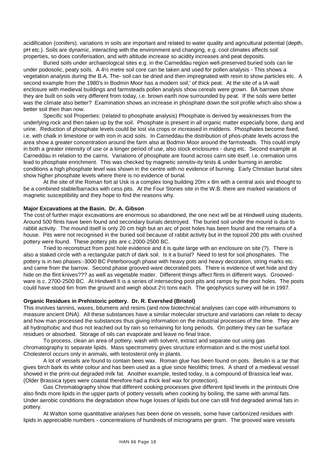acidification (conifers). variations in soils are important and related to water quality and agricultural potential (depth, pH etc.). Soils are dynamic, interacting with the environment and changing, e.g. cool climates affects soil properties, so does coniferisation, and with altitude increase so acidity increases and peat deposits.

Buried soils under archaeological sites e.g. in the Carneddau region well-preserved buried soils can lie under podosolic, peaty soils. A 4½ metre soil core can be taken and used for pollen analysis - This shows a vegetation analysis during the B.A. The- soil can be dried and then impregnated with resin to show particles etc. A second example from the 1980's in Bodmin Moor has a modern soil,' of thick peat. At the site of a IA wall enclosure with medieval buildings and farmsteads pollen analysis show cereals were grown. BA barrows show they are built on soils very different from today, i.e. brown earth now surrounded by peat. If the soils were better was the climate also better? Examination shows an increase in phosphate down the soil profile which also show a better soil then than now.

Specific soil Properties: (related to phosphate analysis) Phosphate is derived by weaknesses from the underlying rock and then taken up by the soil. Phosphate is present in all organic matter especially bone, dung and urine. Reduction of phosphate levels could be lost via crops or increased in middens. Phosphates become fixed, i.e. with chalk in limestone or with iron in acid soils. In Carneddau the distribution of phos-phate levels across the area show a greater concentration around the farm also at Bodmin Moor around the farmsteads. This could imply in both a greater intensity of use or a longer period of use, also stock enclosures - dung etc. Second example at Carneddau in relation to the cairns. Variations of phosphate are found across cairn site itself, i.e. cremation urns lead to phosphate enrichment. This was checked by magnetic sensitiv-ity tests & under burning in aerobic conditions a high phosphate level was shown in the centre with no evidence of burning. Early Christian burial sites show higher phosphate levels where there is no evidence of burial.

At the site of the Roman fort at Usk is a complex long building 20m x 8m with a central axis and thought to be a combined stable/barracks with cess pits. At the Four Stones site in the W.B. there are marked variations of magnetic susceptibility and they hope to find the reasons why.

#### **Major Excavations at the Basin. Dr. A. Gibson**

The cost of further major excavations are enormous so abandoned, the one next will be at Hindwell using students. Around 500 flints have been found and secondary burials destroyed. The buried soil under the mound is due to rabbit activity. The mound itself is only 20 cm high but an arc of post holes has been found and the remains of a house. Pits were not recognised in the buried soil because of rabbit activity but in the topsoil 200 pits with crushed pottery were found. These pottery pits are c.2000-2500 BC.

Tried to reconstruct from post hole evidence and it is quite large with an enclosure on site (?). There is also a staked circle with a rectangular patch of dark soil. Is it a burial? Need to test for soil phosphates. The pottery is in two phases:-3000 BC Peterborough phase with heavy pots and heavy decoration, string marks etc. and came from the barrow. Second phase grooved-ware decorated pots. There is evidence of wet hide and dry hide on the flint knives??? as well as vegetable matter. Different things affect flints in different ways. Groovedware is c. 2700-2500 BC. At Hindwell II is a series of intersecting post pits and ramps by the post holes. The posts could have stood 6m from the ground and weigh about 2½ tons each. The geophysics survey will be in 1997.

#### **Organic Residues in Prehistoric pottery. Dr. R. Evershed (Bristol)**

This involves tannins, waxes, bitumens and resins (and now biotechnical analyses can cope with inhumations to measure ancient DNA). All these substances have a similar molecular structure and variations can relate to decay and how man processed the substances thus giving information on the industrial processes of the time. They are all hydrophobic and thus not leached out by rain so remaining for long periods. On pottery they can be surface residues or absorbed. Storage of oils can evaporate and leave no final trace.

To process, clean an area of pottery, wash with solvent, extract and separate out using gas chromatography to separate lipids. Mass spectrometry gives structure information and is the most useful tool. Cholesterol occurs only in animals, with testosterol only in plants.

A lot of vessels are found to contain bees wax. Roman glue has been found on pots. Betulin is a tar that gives birch bark its white colour and has been used as a glue since Neolithic times. A shard of a medieval vessel showed in the print-out degraded milk fat. Another example, tested today, is a compound of Brassica leaf wax. (Older Brassica types were coastal therefore had a thick leaf wax for protection).

Gas Chromatography show that different cooking processes give different lipid levels in the printouts One also finds more lipids in the upper parts of pottery vessels when cooking by boiling, the same with animal fats. Under aerobic conditions the degradation show huge losses of lipids but one can still find degraded animal fats in pottery.

At Walton some quantitative analyses has been done on vessels, some have carbonized residues with lipids in appreciable numbers - concentrations of hundreds of micrograms per gram. The grooved ware vessels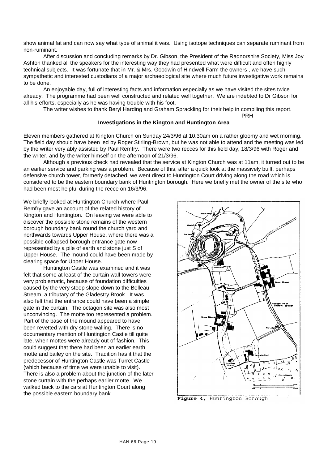show animal fat and can now say what type of animal it was. Using isotope techniques can separate ruminant from non-ruminant.

After discussion and concluding remarks by Dr. Gibson, the President of the Radnorshire Society, Miss Joy Ashton thanked all the speakers for the interesting way they had presented what were difficult and often highly technical subjects. It was fortunate that in Mr. & Mrs. Goodwin of Hindwell Farm the owners , we have such sympathetic and interested custodians of a major archaeological site where much future investigative work remains to be done.

An enjoyable day, full of interesting facts and information especially as we have visited the sites twice already. The programme had been well constructed and related well together. We are indebted to Dr Gibson for all his efforts, especially as he was having trouble with his foot.

The writer wishes to thank Beryl Harding and Graham Sprackling for their help in compiling this report.

#### **Investigations in the Kington and Huntington Area**

Eleven members gathered at Kington Church on Sunday 24/3/96 at 10.30am on a rather gloomy and wet morning. The field day should have been led by Roger Stirling-Brown, but he was not able to attend and the meeting was led by the writer very ably assisted by Paul Remfry. There were two recces for this field day, 18/3/96 with Roger and the writer, and by the writer himself on the afternoon of 21/3/96.

Although a previous check had revealed that the service at Kington Church was at 11am, it turned out to be an earlier service and parking was a problem. Because of this, after a quick look at the massively built, perhaps defensive church tower, formerly detached, we went direct to Huntington Court driving along the road which is considered to be the eastern boundary bank of Huntington borough. Here we briefly met the owner of the site who had been most helpful during the recce on 16/3/96.

We briefly looked at Huntington Church where Paul Remfry gave an account of the related history of Kington and Huntington. On leaving we were able to discover the possible stone remains of the western borough boundary bank round the church yard and northwards towards Upper House, where there was a possible collapsed borough entrance gate now represented by a pile of earth and stone just S of Upper House. The mound could have been made by clearing space for Upper House.

Huntington Castle was examined and it was felt that some at least of the curtain wall towers were very problematic, because of foundation difficulties caused by the very steep slope down to the Belleau Stream, a tributary of the Gladestry Brook. It was also felt that the entrance could have been a simple gate in the curtain. The octagon site was also most unconvincing. The motte too represented a problem. Part of the base of the mound appeared to have been revetted with dry stone walling. There is no documentary mention of Huntington Castle till quite late, when mottes were already out of fashion. This could suggest that there had been an earlier earth motte and bailey on the site. Tradition has it that the predecessor of Huntington Castle was Turret Castle (which because of time we were unable to visit). There is also a problem about the junction of the later stone curtain with the perhaps earlier motte. We walked back to the cars at Huntington Court along the possible eastern boundary bank.



PRH

Figure 4, Huntington Borough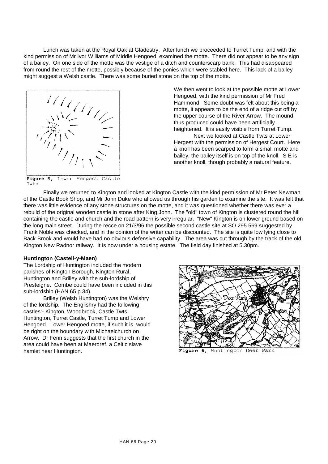Lunch was taken at the Royal Oak at Gladestry. After lunch we proceeded to Turret Tump, and with the kind permission of Mr Ivor Williams of Middle Hengoed, examined the motte. There did not appear to be any sign of a bailey. On one side of the motte was the vestige of a ditch and counterscarp bank. This had disappeared from round the rest of the motte, possibly because of the ponies which were stabled here. This lack of a bailey might suggest a Welsh castle. There was some buried stone on the top of the motte.



We then went to look at the possible motte at Lower Hengoed, with the kind permission of Mr Fred Hammond. Some doubt was felt about this being a motte, it appears to be the end of a ridge cut off by the upper course of the River Arrow. The mound thus produced could have been artificially heightened. It is easily visible from Turret Tump. Next we looked at Castle Twts at Lower

Hergest with the permission of Hergest Court. Here a knoll has been scarped to form a small motte and bailey, the bailey itself is on top of the knoll. S E is another knoll, though probably a natural feature.

Figure 5, Lower Hergest Castle Twts

Finally we returned to Kington and looked at Kington Castle with the kind permission of Mr Peter Newman of the Castle Book Shop, and Mr John Duke who allowed us through his garden to examine the site. It was felt that there was little evidence of any stone structures on the motte, and it was questioned whether there was ever a rebuild of the original wooden castle in stone after King John. The "old" town of Kington is clustered round the hill containing the castle and church and the road pattern is very irregular. "New" Kington is on lower ground based on the long main street. During the recce on 21/3/96 the possible second castle site at SO 295 569 suggested by Frank Noble was checked, and in the opinion of the writer can be discounted. The site is quite low lying close to Back Brook and would have had no obvious defensive capability. The area was cut through by the track of the old Kington New Radnor railway. It is now under a housing estate. The field day finished at 5.30pm.

# **Huntington (Castell-y-Maen)**

The Lordship of Huntington included the modern parishes of Kington Borough, Kington Rural, Huntington and Brilley with the sub-lordship of Presteigne. Combe could have been included in this sub-lordship (HAN 65 p.34).

Brilley (Welsh Huntington) was the Welshry of the lordship. The Englishry had the following castles:- Kington, Woodbrook, Castle Twts, Huntington, Turret Castle, Turret Tump and Lower Hengoed. Lower Hengoed motte, if such it is, would be right on the boundary with Michaelchurch on Arrow. Dr Fenn suggests that the first church in the area could have been at Maerdref, a Celtic slave hamlet near Huntington.



Figure 6, Huntington Deer Park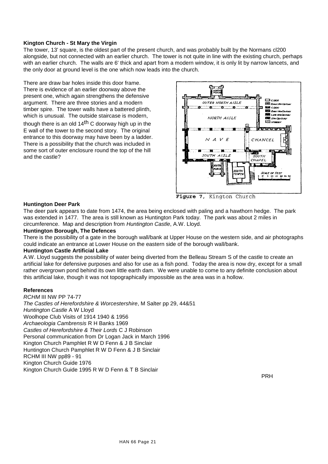# **Kington Church - St Mary the Virgin**

The tower, 13' square, is the oldest part of the present church, and was probably built by the Normans cl200 alongside, but not connected with an earlier church. The tower is not quite in line with the existing church, perhaps with an earlier church. The walls are 6' thick and apart from a modern window, it is only lit by narrow lancets, and the only door at ground level is the one which now leads into the church.

There are draw bar holes inside this door frame. There is evidence of an earlier doorway above the present one, which again strengthens the defensive argument. There are three stories and a modern timber spire. The tower walls have a battered plinth, which is unusual. The outside staircase is modern,

though there is an old  $14<sup>th</sup>$  C doorway high up in the E wall of the tower to the second story. The original entrance to this doorway may have been by a ladder. There is a possibility that the church was included in some sort of outer enclosure round the top of the hill and the castle?



Figure 7, Kington Church

#### **Huntington Deer Park**

The deer park appears to date from 1474, the area being enclosed with paling and a hawthorn hedge. The park was extended in 1477. The area is still known as Huntington Park today. The park was about 2 miles in circumference. Map and description from *Huntington Castle*, A.W. Lloyd.

#### **Huntington Borough, The Defences**

There is the possibility of a gate in the borough wall/bank at Upper House on the western side, and air photographs could indicate an entrance at Lower House on the eastern side of the borough wall/bank.

#### **Huntington Castle Artificial Lake**

A.W. Lloyd suggests the possibility of water being diverted from the Belleau Stream S of the castle to create an artificial lake for defensive purposes and also for use as a fish pond. Today the area is now dry, except for a small rather overgrown pond behind its own little earth dam. We were unable to come to any definite conclusion about this artificial lake, though it was not topographically impossible as the area was in a hollow.

# **References**

*RCHM* III NW PP 74-77 *The Castles of Herefordshire & Worcestershire*, M Salter pp 29, 44&51 *Huntington Castle* A W Lloyd Woolhope Club Visits of 1914 1940 & 1956 *Archaeologia Cambrensis* R H Banks 1969 *Castles of Herefordshire & Their Lords* C J Robinson Personal communication from Dr Logan Jack in March 1996 Kington Church Pamphlet R W D Fenn & J B Sinclair Huntington Church Pamphlet R W D Fenn & J B Sinclair RCHM III NW pp89 - 91 Kington Church Guide 1976 Kington Church Guide 1995 R W D Fenn & T B Sinclair

PRH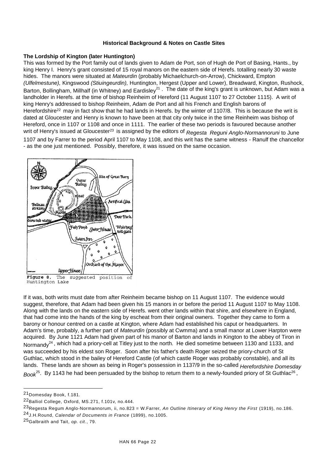# **Historical Background & Notes on Castle Sites**

# **The Lordship of Kington (later Huntington)**

This was formed by the Port family out of lands given to Adam de Port, son of Hugh de Port of Basing, Hants., by king Henry I. Henry's grant consisted of 15 royal manors on the eastern side of Herefs. totalling nearly 30 waste hides. The manors were situated at *Mateurdin* (probably Michaelchurch-on-Arrow), Chickward, Empton *(Ulfelmestune),* Kingswood *(Stiuingeurdin),* Huntington, Hergest (Upper and Lower), Breadward, Kington, Rushock, Barton, Bollingham, Millhalf (in Whitney) and Eardisley<sup>21</sup>. The date of the king's grant is unknown, but Adam was a landholder in Herefs. at the time of bishop Reinheim of Hereford (11 August 1107 to 27 October 1115). A writ of king Henry's addressed to bishop Reinheim, Adam de Port and all his French and English barons of Herefordshire<sup>22</sup> may in fact show that he had lands in Herefs. by the winter of 1107/8. This is because the writ is dated at Gloucester and Henry is known to have been at that city only twice in the time Reinheim was bishop of Hereford, once in 1107 or 1108 and once in 1111. The earlier of these two periods is favoured because another writ of Henry's issued at Gloucester<sup>23</sup>is assigned by the editors of *Regesta Reguni Anglo-Normannoruni* to June 1107 and by Farrer to the period April 1107 to May 1108, and this writ has the same witness - Ranulf the chancellor - as the one just mentioned. Possibly, therefore, it was issued on the same occasion.



Huntington Lake

If it was, both writs must date from after Reinheim became bishop on 11 August 1107. The evidence would suggest, therefore, that Adam had been given his 15 manors in or before the period 11 August 1107 to May 1108. Along with the lands on the eastern side of Herefs. went other lands within that shire, and elsewhere in England, that had come into the hands of the king by escheat from their original owners. Together they came to form a barony or honour centred on a castle at Kington, where Adam had established his caput or headquarters. In Adam's time, probably, a further part of *Mateurdin* (possibly at Cwmma) and a small manor at Lower Harpton were acquired. By June 1121 Adam had given part of his manor of Barton and lands in Kington to the abbey of Tiron in Normandy<sup>24</sup>, which had a priory-cell at Titley just to the north. He died sometime between 1130 and 1133, and was succeeded by his eldest son Roger. Soon after his father's death Roger seized the priory-church of St Guthlac, which stood in the bailey of Hereford Castle (of which castle Roger was probably constable), and all its lands. These lands are shown as being in Roger's possession in 1137/9 in the so-called *Herefordshire Domesday*  Book<sup>25</sup>. By 1143 he had been persuaded by the bishop to return them to a newly-founded priory of St Guthlac<sup>26</sup>,

<sup>21</sup>Domesday Book, f.181.

<sup>22</sup>Balliol College, Oxford, MS.271, f.101v, no.444.

<sup>23</sup>Regesta Regum Anglo-Normannorum, ii, no.823 = W.Farrer, *An Outline Itinerary of King Henry the First* (1919), no.186. 24J.H.Round, *Calendar of Documents in France* (1899), no.1005.

<sup>25</sup>Galbraith and Tait, *op. cit*., 79.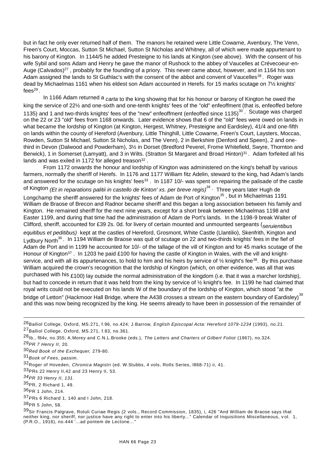but in fact he only ever returned half of them. The manors he retained were Little Cowarne, Avenbury, The Venn, Freen's Court, Moccas, Sutton St Michael, Sutton St Nicholas and Whitney, all of which were made appurtenant to his barony of Kington. In 1144/5 he added Presteigne to his lands at Kington (see above). With the consent of his wife Sybil and sons Adam and Henry he gave the manor of Rushock to the abbey of Vaucelles at Crévecoeur-en-Auge (Calvados)<sup>27</sup>, probably for the founding of a priory. This never came about, however, and in 1164 his son Adam assigned the lands to St Guthlac's with the consent of the abbot and convent of Vaucelles<sup>28</sup>. Roger was dead by Michaelmas 1161 when his eldest son Adam accounted in Herefs. for 15 marks scutage on 7½ knights' fees $^{29}$  .

In 1166 Adam returned a *carta* to the king showing that for his honour or barony of Kington he owed the king the service of 22½ and one-sixth and one-tenth knights' fees of the "old" enfeoffment (that is, enfeoffed before 1135) and 1 and two-thirds knights' fees of the "new" enfeoffment (enfeoffed since 1135) $^{30}$ . Scutage was charged on the 22 or 23 "old" fees from 1168 onwards. Later evidence shows that 6 of the "old" fees were owed on lands in what became the lordship of Kington (at Kington, Hergest, Whitney, Presteigne and Eardisley), 41/4 and one-fifth on lands within the county of Hereford (Avenbury, Little Thinghill, Little Cowarne, Freen's Court, Laysters, Moccas, Rowden, Sutton St Michael, Sutton St Nicholas, and The Venn), 2 in Berkshire (Denford and Speen), 2 and onethird in Devon (Dalwood and Powderham), 3½ in Dorset (Bredford Peverel, Frome Whitefield, Swyre, Thornton and Berwick), 1 in Somerset (Lamyatt), and 3 in Wilts. (Stratton St Margaret and Broad Hinton)<sup>31</sup>. Adam forfeited all his lands and was exiled in 1172 for alleged treason $^{32}$  .

From 1172 onwards the honour and lordship of Kington was administered on the king's behalf by various farmers, normally the sheriff of Herefs. In 1176 and 1177 William fitz Adelin, steward to the king, had Adam's lands and answered for the scutage on his knights' fees<sup>33</sup>. In 1187 10/- was spent on repairing the palisade of the castle

of Kington *(Et in reparations palitii in castello de Kinton' xs. per breve regis)<sup>34</sup> .* Three years later Hugh de Longchamp the sheriff answered for the knights' fees of Adam de Port of Kington<sup>35</sup>, but in Michaelmas 1191 William de Braose of Brecon and Radnor became sheriff and this began a long association between his family and Kington. He remained sheriff for the next nine years, except for a short break between Michaelmas 1198 and Easter 1199, and during that time had the administration of Adam de Port's lands. In the 1198-9 break Walter of Clifford, sheriff, accounted for £39 2s. 0d. for livery of certain mounted and unmounted sergeants (*seruientibus equitibus et peditibus)* kept at the castles of Hereford, Grosmont, White Castle (Llantilio), Skenfrith, Kington and Lydbury North<sup>36</sup>. In 1194 William de Braose was quit of scutage on 22 and two-thirds knights' fees in the fief of Adam de Port and in 1199 he accounted for 10/- of the tallage of the vill of Kington and for 45 marks scutage of the Honour of Kington<sup>37</sup>. In 1203 he paid £100 for having the castle of Kington in Wales, with the vill and knightservice, and with all its appurtenances, to hold to him and his heirs by service of  $\frac{1}{2}$  knight's fee<sup>38</sup>. By this purchase William acquired the crown's recognition that the lordship of Kington (which, on other evidence, was all that was purchased with his £100) lay outside the normal administration of the kingdom (i.e. that it was a marcher lordship), but had to concede in return that it was held from the king by service of ½ knight's fee. In 1199 he had claimed that

royal writs could not be executed on his lands W of the boundary of the lordship of Kington, which stood "at the bridge of Letton" (Hackmoor Hall Bridge, where the A438 crosses a stream on the eastern boundary of Eardisley)<sup>39</sup> and this was now being recognized by the king. He seems already to have been in possession of the remainder of

l

33PRs 22 Henry II,42 and 23 Henry II, 53.

<sup>26</sup>Balliol College, Oxford, MS.271, f.96, no.424; J.Barrow, *English Episcopal Acta: Hereford 1079-1234* (1993), no.21. 27Balliol College, Oxford, MS.271, f.83, no.361.

<sup>28</sup>Ib., f84v, no.355; A.Morey and C.N.L.Brooke (eds.), *The Letters and Charters of Gilbert Foliot* (1967), no.324.

<sup>29</sup>*PR 7 Henry II*, 20.

<sup>30</sup>*Red Book of the Exchequer,* 279-80.

<sup>31</sup>*Book of Fees*, passim.

<sup>32</sup>Roger of Hoveden, *Chronica Magistri* (ed. W.Stubbs, 4 vols, Rolls Series, l868-71) ii, 41.

*<sup>34</sup>PR 33 Henry II, 131.*

<sup>35</sup>PR, 2 Richard 1, 49.

 $36$ PR 1 John, 214.

<sup>37</sup>PRs 6 Richard 1, 140 and I John, 218.

<sup>38</sup>PR 5 John, 58.

<sup>39</sup>Sir Francis Palgrave, Rotuli Curiae Regis (2 vols., Record Commission, 1835), i, 426 "And William de Braose says that neither king, nor sheriff, nor justice have any right to enter into his liberty..." Calendar of Inquisitions Miscellaneous, v ol. 1, (P.R.O., 1916), no.444 '...ad pontem de Lectone..."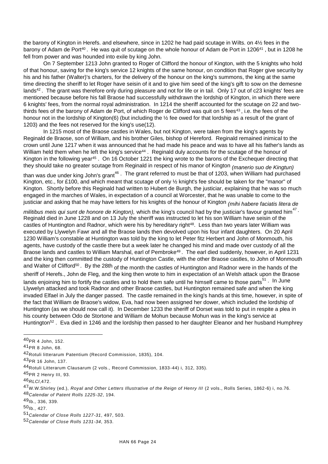the barony of Kington in Herefs. and elsewhere, since in 1202 he had paid scutage in Wilts. on 4½ fees in the barony of Adam de Port<sup>40</sup>. He was quit of scutage on the whole honour of Adam de Port in 1206<sup>41</sup>, but in 1208 he fell from power and was hounded into exile by king John.

On 7 September 1213 John granted to Roger of Clifford the honour of Kington, with the 5 knights who hold of that honour, saving for the king's service 12 knights of the same honour, on condition that Roger give security by his and his father (Walter)'s charters, for the delivery of the honour on the king's summons, the king at the same time directing the sheriff to let Roger have seisin of it and to give him seed of the king's gift to sow on the demesne lands<sup>42</sup>. The grant was therefore only during pleasure and not for life or in tail. Only 17 out of c23 knights' fees are mentioned because before his fall Braose had successfully withdrawn the lordship of Kington, in which there were 6 knights' fees, from the normal royal administration. In 1214 the sheriff accounted for the scutage on 22 and twothirds fees of the barony of Adam de Port, of which Roger de Clifford was quit on 5 fees<sup>43</sup>, i.e. the fees of the honour not in the lordship of Kington(6) (but including the  $\frac{1}{2}$  fee owed for that lordship as a result of the grant of 1203) and the fees not reserved for the king's use(12).

In 1215 most of the Braose castles in Wales, but not Kington, were taken from the king's agents by Reginald de Braose, son of William, and his brother Giles, bishop of Hereford. Reginald remained inimical to the crown until June 1217 when it was announced that he had made his peace and was to have all his father's lands as William held them when he left the king's service<sup>44</sup>. Reginald duly accounts for the scutage of the honour of Kington in the following year<sup>45</sup>. On 16 October 1221 the king wrote to the barons of the Exchequer directing that they should take no greater scutage from Reginald in respect of his manor of Kington *(manerio suo de Kingtun)* 

than was due under king John's grant<sup>46</sup>. The grant referred to must be that of 1203, when William had purchased Kington, etc., for £100, and which meant that scutage of only ½ knight's fee should be taken for the "manor" of Kington. Shortly before this Reginald had written to Hubert de Burgh, the justiciar, explaining that he was so much engaged in the marches of Wales, in expectation of a council at Worcester, that he was unable to come to the justiciar and asking that he may have letters for his knights of the honour of Kington *(mihi habere faciatis litera de* 

militibus meis qui sunt de honore de Kington), which the king's council had by the justiciar's favour granted him<sup>47</sup> · Reginald died in June 1228 and on 13 July the sheriff was instructed to let his son William have seisin of the castles of Huntington and Radnor, which were his by hereditary right<sup>48</sup>. Less than two years later William was executed by Llywelyn Fawr and all the Braose lands then devolved upon his four infant daughters. On 20 April 1230 William's constable at Huntington was told by the king to let Peter fitz Herbert and John of Monmouth, his agents, have custody of the castle there but a week later he changed his mind and made over custody of all the Braose lands and castles to William Marshal, earl of Pembroke<sup>49</sup>. The earl died suddenly, however, in April 1231 and the king then committed the custody of Huntington Castle, with the other Braose castles, to John of Monmouth and Walter of Clifford<sup>50</sup>. By the 28th of the month the castles of Huntington and Radnor were in the hands of the sheriff of Herefs., John de Fleg, and the king then wrote to him in expectation of an Welsh attack upon the Braose lands enjoining him to fortify the castles and to hold them safe until he himself came to those parts<sup>51</sup>. In June Llywelyn attacked and took Radnor and other Braose castles, but Huntington remained safe and when the king invaded Elfael in July the danger passed. The castle remained in the king's hands at this time, however, in spite of the fact that William de Braose's widow, Eva, had now been assigned her dower, which included the lordship of Huntington (as we should now call it). In December 1233 the sheriff of Dorset was told to put in respite a plea in his county between Odo de Stortone and William de Mohun because Mohun was in the king's service at Huntington<sup>52</sup>. Eva died in 1246 and the lordship then passed to her daughter Eleanor and her husband Humphrey

-

<sup>40</sup>PR 4 John, 152.

<sup>41</sup>PR 8 John, 68.

<sup>42</sup>Rotuli litterarum Patentium (Record Commission, 1835), 104.

<sup>43</sup>PR 16 John, 137.

<sup>44</sup>Rotuli Litterarum Clausarum (2 vols., Record Commission, 1833-44) i, 312, 335).

<sup>45</sup>PR 2 Henry III, 93.

<sup>46</sup>*RLCl*,472.

<sup>47</sup>W.W.Shirley (ed.), *Royal and Other Letters Illustrative of the Reign of Henry III* (2 vols., Rolls Series, 1862-6) i, no.76. 48*Calendar of Patent Rolls 1225-32*, 194.

<sup>49</sup>Ib., 336, 339.

 $50$ <sub>lb., 427.</sub>

<sup>51</sup>*Calendar of Close Rolls 1227-31*, 497, 503.

<sup>52</sup>*Calendar of Close Rolls 1231-34*, 353.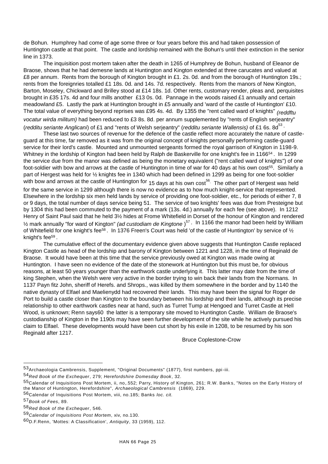de Bohun. Humphrey had come of age some three or four years before this and had taken possession of Huntington castle at that point. The castle and lordship remained with the Bohun's until their extinction in the senior line in 1373.

The inquisition post mortem taken after the death in 1265 of Humphrey de Bohun, husband of Eleanor de Braose, shows that he had demesne lands at Huntington and Kington extended at three carucates and valued at £8 per annum. Rents from the borough of Kington brought in £1. 2s. 0d. and from the borough of Huntington 19s.; rents from the foreignries totalled £1 18s. 0d. and 14s. 7d. respectively. Rents from the manors of New Kington, Barton, Moseley, Chickward and Brilley stood at £14 18s. 1d. Other rents, customary render, pleas and, perquisites brought in £35 17s. 4d and four mills another £13 0s. 0d. Pannage in the woods raised £1 annually and certain meadowland £5. Lastly the park at Huntington brought in £5 annually and 'ward of the castle of Huntington' £10. The total value of everything beyond reprises was £95 4s. 4d. By 1355 the "rent called ward of knights" *(reddftu vocatur wirda militum)* had been reduced to £3 8s. 8d. per annum supplemented by "rents of English serjeantry" (*redditu seriante Anglicani*) of £1 and "rents of Welsh serjeantry" (*redditu seriante Wallensis)* of £1 6s. 8d<sup>53</sup> ·

These last two sources of revenue for the defence of the castle reflect more accurately the nature of castleguard at this time, far removed as it was from the original concept of knights personally performing castle-guard service for their lord's castle. Mounted and unmounted sergeants formed the royal garrison of Kington in 1198-9. Whitney in the lordship of Kington had been held by Ralph de Baskerville for one knight's fee in 1166<sup>54</sup>. In 1299 the service due from the manor was defined as being the monetary equivalent ("rent called ward of knights") of one foot-soldier with bow and arrows at the castle of Huntington in time of war for 40 days at his own cost<sup>55</sup>. Similarly a part of Hergest was held for ½ knights fee in 1340 which had been defined in 1299 as being for one foot-soldier with bow and arrows at the castle of Huntington for 15 days at his own  $\cos t^{56}$ . The other part of Hergest was held for the same service in 1299 although there is now no evidence as to how much knight-service that represented. Elsewhere in the lordship six men held lands by service of providing one foot-soldier, etc., for periods of either 7, 8 or 9 days, the total number of days service being 51. The service of two knights' fees was due from Presteigne but by 1304 this had been commuted to the payment of a mark (13s. 4d.) annually for each fee (see above). In 1212 Henry of Saint Paul said that he held 3½ hides at Frome Whitefield in Dorset of the honour of Kington and rendered ½ mark annually "for ward of Kington" *(ad custodiam de Kingtone* ) <sup>57</sup>. In 1166 the manor had been held by William of Whitefield for one knight's fee<sup>58</sup>. In 1376 Freen's Court was held 'of the castle of Huntington' by service of  $\frac{1}{2}$ knight's fee<sup>59</sup> .

The cumulative effect of the documentary evidence given above suggests that Huntington Castle replaced Kington Castle as head of the lordship and barony of Kington between 1221 and 1228, in the time of Reginald de Braose. It would have been at this time that the service previously owed at Kington was made owing at Huntington. I have seen no evidence of the date of the stonework at Huntington but this must be, for obvious reasons, at least 50 years younger than the earthwork castle underlying it. This latter may date from the time of king Stephen, when the Welsh were very active in the border trying to win back their lands from the Normans. In 1137 Payn fitz John, sheriff of Herefs. and Shrops., was killed by them somewhere in the border and by 1140 the native dynasty of Elfael and Maelienydd had recovered their lands. This may have been the signal for Roger de Port to build a castle closer than Kington to the boundary between his lordship and their lands, although its precise relationship to other earthwork castles near at hand, such as Turret Tump at Hengoed and Turret Castle at Hell Wood, is unknown; Renn says60 the latter is a temporary site moved to Huntington Castle. William de Braose's custodianship of Kington in the 1190s may have seen further development of the site while he actively pursued his claim to Elfael. These developments would have been cut short by his exile in 1208, to be resumed by his son Reginald after 1217.

Bruce Coplestone-Crow

- 56Calendar of Inquisitions Post Mortem, viii, no.185; Banks *loc. cit.*
- 57*Book of Fees*, 89.

<sup>53</sup>Archaeologia Cambrensis, Supplement, "Original Documents" (1877), first numbers, ppi-iii.

<sup>54</sup>*Red Book of the Exchequer*, 279; *Herefordshire Domesday Book*, 32.

<sup>55</sup>Calendar of Inquisitions Post Mortem, ii, no,.552; Parry, History of Kington, 261; R.W. Banks, "Notes on the Early History of the Manor of Huntington, Herefordshire", *Archaeological Cambrensis* (1869), 229.

<sup>58</sup>*Red Book of the Exchequer*, 546.

<sup>59</sup>*Calendar of Inquisitions Post Mortem*, xiv, no.130.

<sup>60</sup>D.F.Renn, 'Mottes: A Classification', *Antiquity*, 33 (1959), 112.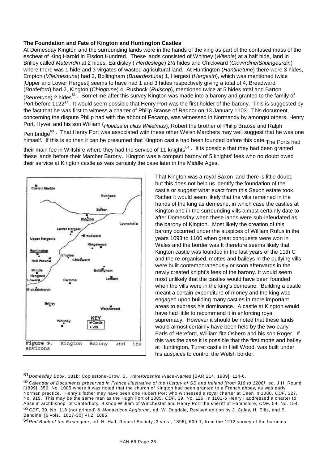# **The Foundation and Fate of Kington and Huntington Castles**

At Domesday Kington and the surrounding lands were in the hands of the king as part of the confused mass of the escheat of King Harold in Elsdon Hundred. These lands consisted of Whitney (*Witenie*) at a half hide, land in Brilley called *Matevrdin* at 2 hides, Eardisley ( *Herdeslege*) 2½ hides and Chickward (*Cicvvrdine*/*Stiuingeurdin*) where there was 1 hide and 3 virgates of wasted agricultural land. At Huntington (*Hantinetune*) there were 3 hides, Empton (*Vlfelmestune*) had 2, Bollingham (*Bruardestune*) 1, Hergest (*Hergesth*), which was mentioned twice [Upper and Lower Hergest] seems to have had 1 and 3 hides respectively giving a total of 4, Breadward (*Brudeford*) had 2, Kington (*Chingtune*) 4, Rushock (*Ruiscop*), mentioned twice at 5 hides total and Barton (*Beuretune*) 2 hides<sup>61</sup>. Sometime after this survey Kington was made into a barony and granted to the family of Port before 1122<sup>62</sup>. It would seem possible that Henry Port was the first holder of the barony. This is suggested by the fact that he was first to witness a charter of Philip Braose of Radnor on 13 January 1103. This document, concerning the dispute Philip had with the abbot of Fecamp, was witnessed in Normandy by amongst others, Henry Port, Hywel and his son William (*Hoellus et filius Willelmus*), Robert the brother of Philip Braose and Ralph Pembridge<sup>63</sup>. That Henry Port was associated with these other Welsh Marchers may well suggest that he was one himself. If this is so then it can be presumed that Kington castle had been founded before this date. The Ports had their main fee in Wiltshire where they had the service of 11 knights<sup>64</sup>. It is possible that they had been granted

these lands before their Marcher Barony. Kington was a compact barony of 5 knights' fees who no doubt owed their service at Kington castle as was certainly the case later in the Middle Ages.



l

That Kington was a royal Saxon land there is little doubt, but this does not help us identify the foundation of the castle or suggest what exact form this Saxon estate took. Rather it would seem likely that the vills remained in the hands of the king as demesne, in which case the castles at Kington and in the surrounding vills almost certainly date to after Domesday when these lands were sub-infeudated as the barony of Kington. Most likely the creation of this barony occurred under the auspices of William Rufus in the years 1093 to 1100 when great conquests were won in Wales and the border was It therefore seems likely that Kington castle was founded in the last years of the 11th C and the re-organised. mottes and baileys in the outlying vills were built contemporaneously or soon afterwards in the newly created knight's fees of the barony. It would seem most unlikely that the castles would have been founded when the vills were in the king's demesne. Building a castle meant a certain expenditure of money and the king was engaged upon building many castles in more important areas to express his dominance. A castle at Kington would have had little to recommend it in enforcing royal supremacy. However it should be noted that these lands would almost certainly have been held by the two early Earls of Hereford, William fitz Osbern and his son Roger. If this was the case it is possible that the first motte and bailey at Huntington, Turret castle in Hell Wood, was built under his auspices to control the Welsh border.

<sup>61</sup>*Domesday Book*, 181b; Coplestone-Crow, B., *Herefordshire Place-Names* [BAR 214, 1989], 114-6.

<sup>62</sup>*Calendar of Documents preserved in France illustrative of the History of GB and Ireland [from 918 to 1206]*, ed. J.H. Round [1899], 356, No. 1005 where it was noted that the church of Kington had been granted to a French abbey, as was early Norman practice. Henry's father may have been one Hubert Port who wit nessed a royal charter at Caen in 1080, *CDF*, 327, No. 919. This may be the same man as the Hugh Port of 1085, *CDF*, 39, No. 116. In 1101-6 Henry I addressed a charter to Anselm archbishop of Canterbury, Bishop William of Winchester and Henry Port the sheriff of Hampshire, *CDF*, 54, No. 154. 63*CDF*, 39, No. 118 (not printed) & *Monasticon Anglorum*, ed. W. Dugdale, Revised edition by J. Caley, H. Ellis, and B. Bandinel [6 vols., 1817-30] VI.2, 1085.

<sup>64</sup>*Red Book of the Exchequer*, ed. H. Hall, Record Society [3 vols., 1896], 600-1, from the 1212 survey of the baronies.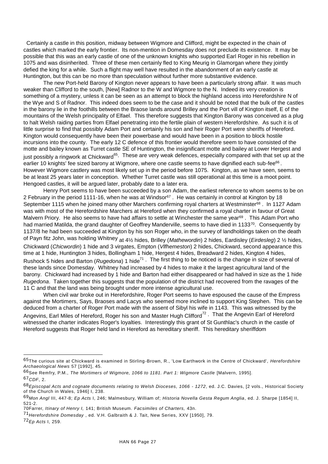Certainly a castle in this position, midway between Wigmore and Clifford, might be expected in the chain of castles which marked the early frontier. Its non-mention in Domesday does not preclude its existence. It may be possible that this was an early castle of one of the unknown knights who supported Earl Roger in his rebellion in 1075 and was disinherited. Three of these men certainly fled to King Meurig in Glamorgan where they jointly defied the king for a while. Such a flight may well have resulted in the abandonment of an early castle at Huntington, but this can be no more than speculation without further more substantive evidence.

The new Port-held Barony of Kington never appears to have been a particularly strong affair. It was much weaker than Clifford to the south, [New] Radnor to the W and Wigmore to the N. Indeed its very creation is something of a mystery, unless it can be seen as an attempt to block the highland access into Herefordshire N of the Wye and S of Radnor. This indeed does seem to be the case and it should be noted that the bulk of the castles in the barony lie in the foothills between the Braose lands around Brilley and the Port vill of Kington itself, E of the mountains of the Welsh principality of Elfael. This therefore suggests that Kington Barony was conceived as a plug to halt Welsh raiding parties from Elfael penetrating into the fertile plain of western Herefordshire. As such it is of little surprise to find that possibly Adam Port and certainly his son and heir Roger Port were sheriffs of Hereford. Kington would consequently have been their powerbase and would have been in a position to block hostile incursions into the county. The early 12 C defence of this frontier would therefore seem to have consisted of the motte and bailey known as Turret castle SE of Huntington, the insignificant motte and bailey at Lower Hergest and just possibly a ringwork at Chickward<sup>65</sup>. These are very weak defences, especially compared with that set up at the earlier 10 knights' fee sized barony at Wigmore, where one castle seems to have dignified each sub-fee $^{66}$  . However Wigmore castlery was most likely set up in the period before 1075. Kington, as we have seen, seems to be at least 25 years later in conception. Whether Turret castle was still operational at this time is a moot point. Hengoed castles, it will be argued later, probably date to a later era.

Henry Port seems to have been succeeded by a son Adam, the earliest reference to whom seems to be on 2 February in the period 1111-16, when he was at Windsor<sup>67</sup>. He was certainly in control at Kington by 18 September 1115 when he joined many other Marchers confirming royal charters at Westminster<sup>68</sup>. In 1127 Adam was with most of the Herefordshire Marchers at Hereford when they confirmed a royal charter in favour of Great Malvern Priory. He also seems to have had affairs to settle at Winchester the same year<sup>69</sup>. This Adam Port who had married Matilda, the grand daughter of Geoffrey Manderville, seems to have died in 113370. Consequently by 1137/8 he had been succeeded at Kington by his son Roger who, in the survey of landholdings taken on the death of Payn fitz John, was holding Whitney at 4½ hides, Brilley (*Mathewordin*) 2 hides, Eardisley (*Eirdesleg*) 2 ½ hides, Chickward (*Chicwordin*) 1 hide and 3 virgates, Empton (*Vlfhemeston*) 2 hides, Chickward, second appearance this time at 1 hide, Huntington 3 hides, Bollingham 1 hide, Hergest 4 hides, Breadward 2 hides, Kington 4 hides, Rushock 5 hides and Barton (*Rugedona*) 1 hide<sup>71</sup> . The first thing to be noticed is the change in size of several of these lands since Domesday. Whitney had increased by 4 hides to make it the largest agricultural land of the barony. Chickward had increased by 1 hide and Barton had either disappeared or had halved in size as the 1 hide *Rugedona*. Taken together this suggests that the population of the district had recovered from the ravages of the 11 C and that the land was being brought under more intense agricultural use.

When civil war broke out in Herefordshire, Roger Port seems to have espoused the cause of the Empress against the Mortimers, Says, Braoses and Lacys who seemed more inclined to support King Stephen. This can be deduced from a charter of Roger Port made with the assent of Sibyl his wife in 1143. This was witnessed by the Angevins, Earl Miles of Hereford, Roger his son and Master Hugh Clifford<sup>72</sup>. That the Angevin Earl of Hereford witnessed the charter indicates Roger's loyalties. Interestingly this grant of St Gunthlac's church in the castle of Hereford suggests that Roger held land in Hereford as hereditary sheriff. This hereditary sheriffdom

<sup>65</sup>The curious site at Chickward is examined in Stirling-Brown, R., 'Low Earthwork in the Centre of Chickward', *Herefordshire Archaeological News* 57 [1992], 45.

<sup>66</sup>See Remfry, P.M., *The Mortimers of Wigmore, 1066 to 1181. Part 1: Wigmore Castle* [Malvern, 1995]. 67*CDF*, 2.

<sup>68</sup>*Episcopal Acts and cognate documents relating to Welsh Dioceses, 1066 - 1272*, ed. J.C. Davies, [2 vols., Historical Society of the Church in Wales, 1946] I, 238.

<sup>69</sup>*Mon Angl* III, 447-8; *Ep Acts* I, 246; Malmesbury, William of; *Historia Novella Gesta Regum Anglia*, ed. J. Sharpe [1854] II, 521-2.

<sup>70</sup>Farrer, *Itinary of Henry I,* 141; British Museum. *Facsimiles of Charters,* 43n.

<sup>71</sup>*Herefordshire Domesday* , ed. V.H. Galbraith & J. Tait, New Series, XXV [1950], 79.

<sup>72</sup>*Ep Acts* I, 259.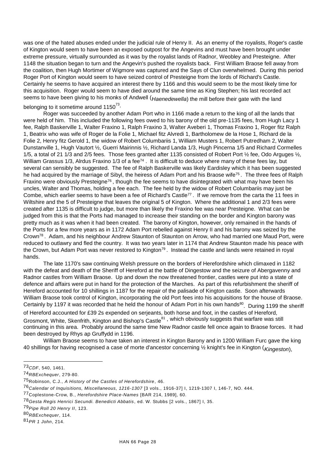was one of the hated abuses ended under the judicial rule of Henry II. As an enemy of the royalists, Roger's castle of Kington would seem to have been an exposed outpost for the Angevins and must have been brought under extreme pressure, virtually surrounded as it was by the royalist lands of Radnor, Weobley and Presteigne. After 1148 the situation began to turn and the Angevin's pushed the royalists back. First William Braose fell away from the coalition, then Hugh Mortimer of Wigmore was captured and the Says of Clun overwhelmed. During this period Roger Port of Kington would seem to have seized control of Presteigne from the lords of Richard's Castle. Certainly he seems to have acquired an interest there by 1166 and this would seem to be the most likely time for this acquisition. Roger would seem to have died around the same time as King Stephen; his last recorded act seems to have been giving to his monks of Andwell (*Haenedewella*) the mill before their gate with the land

belonging to it sometime around 1150 $^{73}$ .

Roger was succeeded by another Adam Port who in 1166 made a return to the king of all the lands that were held of him. This included the following fees owed to his barony of the old pre-1135 fees, from Hugh Lacy 1 fee, Ralph Baskerville 1, Walter Fraxino 1, Ralph Fraxino 3, Walter Aveberi 1, Thomas Fraxino 1, Roger fitz Ralph 1, Beatrix who was wife of Roger de la Folie 1, Michael fitz Alvredi 1, Bartholomew de la Hose 1, Richard de la Folie 2, Henry fitz Gerold 1, the widow of Robert Columbariis 1, William Musters 1, Robert Putredham 2, Walter Dunstanville 1, Hugh Vautort ½, Guerri Mairinnis ½, Richard Landa 1/3, Hugh Pincerna 1/5 and Richard Cormelles 1/5, a total of 21 1/3 and 2/5 fees. Those fees granted after 1135 consisted of Robert Port ½ fee, Odo Arguges ½, William Grassus 1/3, Alrdus Fraxino 1/3 of a fee<sup>74</sup>. It is difficult to deduce where many of these fees lay, but several can sensibly be suggested. The fee of Ralph Baskerville was likely Eardisley which it has been suggested he had acquired by the marriage of Sibyl, the heiress of Adam Port and his Braose wife<sup>75</sup>. The three fees of Ralph Fraxino were obviously Presteigne<sup>76</sup>, though the fee seems to have disintegrated with what may have been his uncles, Walter and Thomas, holding a fee each. The fee held by the widow of Robert Columbariis may just be Combe, which earlier seems to have been a fee of Richard's Castle<sup>77</sup>. If we remove from the carta the 11 fees in Wiltshire and the 5 of Presteigne that leaves the original 5 of Kington. Where the additional 1 and 2/3 fees were created after 1135 is difficult to judge, but more than likely the Fraxino fee was near Presteigne. What can be judged from this is that the Ports had managed to increase their standing on the border and Kington barony was pretty much as it was when it had been created. The barony of Kington, however, only remained in the hands of the Ports for a few more years as in 1172 Adam Port rebelled against Henry II and his barony was seized by the Crown<sup>78</sup>. Adam, and his neighbour Andrew Staunton of Staunton on Arrow, who had married one Maud Port, were reduced to outlawry and fled the country. It was two years later in 1174 that Andrew Staunton made his peace with the Crown, but Adam Port was never restored to Kington<sup>79</sup>. Instead the castle and lands were retained in royal hands.

The late 1170's saw continuing Welsh pressure on the borders of Herefordshire which climaxed in 1182 with the defeat and death of the Sheriff of Hereford at the battle of Dingestow and the seizure of Abergavenny and Radnor castles from William Braose. Up and down the now threatened frontier, castles were put into a state of defence and affairs were put in hand for the protection of the Marches. As part of this refurbishment the sheriff of Hereford accounted for 10 shillings in 1187 for the repair of the palisade of Kington castle. Soon afterwards William Braose took control of Kington, incorporating the old Port fees into his acquisitions for the house of Braose. Certainly by 1197 it was recorded that he held the honour of Adam Port in his own hands<sup>80</sup>. During 1199 the sheriff of Hereford accounted for £39 2s expended on serjeants, both horse and foot, in the castles of Hereford, Grosmont, White, Skenfrith, Kington and Bishop's Castle<sup>81</sup>, which obviously suggests that warfare was still continuing in this area. Probably around the same time New Radnor castle fell once again to Braose forces. It had been destroyed by Rhys ap Gruffydd in 1196.

William Braose seems to have taken an interest in Kington Barony and in 1200 William Furc gave the king 40 shillings for having recognised a case of morte d'ancestor concerning ½ knight's fee in Kington (*Kingeston*),

<sup>73</sup>*CDF*, 540, 1461.

<sup>74</sup>*RBExchequer*, 279-80.

<sup>75</sup>Robinson, C.J., *A History of the Castles of Herefordshire*, 46.

<sup>76</sup>*Calendar of Inquisitions, Miscellaneous, 1216-1307* [3 vols., 1916-37] I, 1219-1307 I, 146-7, NO. 444.

<sup>77</sup>Coplestone-Crow, B., *Herefordshire Place-Names* [BAR 214, 1989], 60.

<sup>78</sup>*Gesta Regis Henrici Secundi. Benedicti Abbatis*, ed. W. Stubbs [2 vols., 1867] I, 35.

<sup>79</sup>*Pipe Roll 20 Henry II*, 123.

<sup>80</sup>*RBExchequer*, 114.

<sup>81</sup>*PR 1 John*, 214.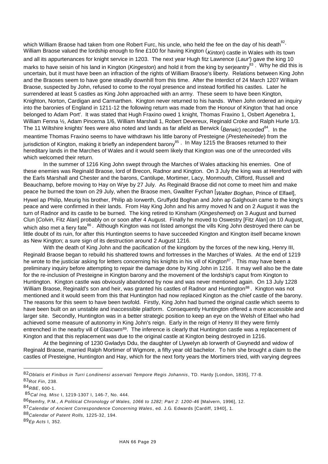which William Braose had taken from one Robert Furc, his uncle, who held the fee on the day of his death $^{82}$ · William Braose valued the lordship enough to fine £100 for having Kington (*Kinton*) castle in Wales with its town and all its appurtenances for knight service in 1203. The next year Hugh fitz Lawrence (*Laur'*) gave the king 10 marks to have seisin of his land in Kington (*Kingeston*) and hold it from the king by serjeantry<sup>83</sup>. Why he did this is uncertain, but it must have been an infraction of the rights of William Braose's liberty. Relations between King John and the Braoses seem to have gone steadily downhill from this time. After the Interdict of 24 March 1207 William Braose, suspected by John, refused to come to the royal presence and instead fortified his castles. Later he surrendered at least 5 castles as King John approached with an army. These seem to have been Kington, Knighton, Norton, Cardigan and Carmarthen. Kington never returned to his hands. When John ordered an inquiry into the baronies of England in 1211-12 the following return was made from the Honour of Kington 'that had once belonged to Adam Port'. It was stated that Hugh Fraxino owed 1 knight, Thomas Fraxino 1, Osbert Agenebra 1, William Fenna ½, Adam Pincerna 1/6, William Marshall 1, Robert Devereux, Reginald Croke and Ralph Hurle 1/3. The 11 Wiltshire knights' fees were also noted and lands as far afield as Berwick (*Berwic*) recorded<sup>84</sup>. In the meantime Thomas Fraxino seems to have withdrawn his little barony of Presteigne (*Presteheinede*) from the jurisdiction of Kington, making it briefly an independent barony<sup>85</sup> . In May 1215 the Braoses returned to their hereditary lands in the Marches of Wales and it would seem likely that Kington was one of the unrecorded vills which welcomed their return.

In the summer of 1216 King John swept through the Marches of Wales attacking his enemies. One of these enemies was Reginald Braose, lord of Brecon, Radnor and Kington. On 3 July the king was at Hereford with the Earls Marshall and Chester and the barons, Cantilupe, Mortimer, Lacy, Monmouth, Clifford, Russell and Beauchamp, before moving to Hay on Wye by 27 July. As Reginald Braose did not come to meet him and make peace he burned the town on 29 July, when the Braose men, Gwallter Fychan [*Walter Boghan*, Prince of Elfael], Hywel ap Philip, Meurig his brother, Philip ab Iorwerth, Gruffydd Boghan and John ap Galghouin came to the king's peace and were confirmed in their lands. From Hay King John and his army moved N and on 2 August it was the turn of Radnor and its castle to be burned. The king retired to Kinsham (*Kingeshemed*) on 3 August and burned Clun [*Colvin*, Fitz Alan] probably on or soon after 4 August. Finally he moved to Oswestry [Fitz Alan] on 10 August, which also met a fiery fate<sup>86</sup>. Although Kington was not listed amongst the vills King John destroyed there can be little doubt of its ruin, for after this Huntington seems to have succeeded Kington and Kington itself became known as New Kington; a sure sign of its destruction around 2 August 1216.

With the death of King John and the pacification of the kingdom by the forces of the new king, Henry III, Reginald Braose began to rebuild his shattered towns and fortresses in the Marches of Wales. At the end of 1219 he wrote to the justiciar asking for letters concerning his knights in his vill of Kington<sup>87</sup>. This may have been a preliminary inquiry before attempting to repair the damage done by King John in 1216. It may well also be the date for the re-inclusion of Presteigne in Kington barony and the movement of the lordship's caput from Kington to Huntington. Kington castle was obviously abandoned by now and was never mentioned again. On 13 July 1228 William Braose, Reginald's son and heir, was granted his castles of Radnor and Huntington<sup>88</sup>. Kington was not mentioned and it would seem from this that Huntington had now replaced Kington as the chief castle of the barony. The reasons for this seem to have been twofold. Firstly, King John had burned the original castle which seems to have been built on an unstable and inaccessible platform. Consequently Huntington offered a more accessible and larger site. Secondly, Huntington was in a better strategic position to keep an eye on the Welsh of Elfael who had achieved some measure of autonomy in King John's reign. Early in the reign of Henry III they were firmly entrenched in the nearby vill of Glascwm<sup>89</sup>. The inference is clearly that Huntington castle was a replacement of Kington and that this replacement was due to the original castle at Kington being destroyed in 1216.

At the beginning of 1230 Gwladys Ddu, the daughter of Llywelyn ab Iorwerth of Gwynedd and widow of Reginald Braose, married Ralph Mortimer of Wigmore, a fifty year old bachelor. To him she brought a claim to the castles of Presteigne, Huntington and Hay, which for the next forty years the Mortimers tried, with varying degrees

<sup>82</sup>*Oblatis et Finibus in Turri Londinensi asservati Tempore Regis Johannis*, TD. Hardy [London, 1835], 77-8. 83*Rot Fin*, 238.

<sup>84</sup>*RBE*, 600-1.

<sup>85</sup>*Cal Inq, Misc* I, 1219-1307 I, 146-7, No. 444.

<sup>86</sup>Remfry, P.M., *A Political Chronology of Wales, 1066 to 1282; Part 2: 1200-46* [Malvern, 1996], 12.

<sup>87</sup>*Calendar of Ancient Correspondence Concerning Wales*, ed. J.G. Edwards [Cardiff, 1940], 1.

<sup>88</sup>*Calendar of Patent Rolls,* 1225-32, 194.

<sup>89</sup>*Ep Acts* I, 352.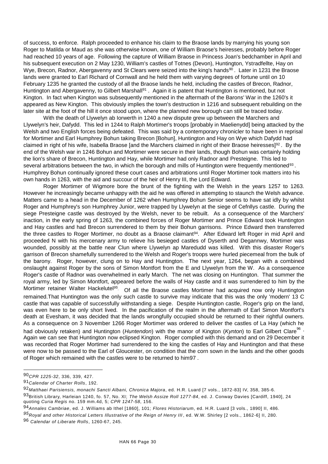of success, to enforce. Ralph proceeded to enhance his claim to the Braose lands by marrying his young son Roger to Matilda or Maud as she was otherwise known, one of William Braose's heiresses, probably before Roger had reached 10 years of age. Following the capture of William Braose in Princess Joan's bedchamber in April and his subsequent execution on 2 May 1230, William's castles of Totnes (Devon), Huntington, Ystradfellte, Hay on Wye, Brecon, Radnor, Abergavenny and St Clears were seized into the king's hands<sup>90</sup>. Later in 1231 the Braose lands were granted to Earl Richard of Cornwall and he held them with varying degrees of fortune until on 10 February 1235 he granted the custody of all the Braose lands he held, including the castles of Brecon, Radnor, Huntington and Abergavenny, to Gilbert Marshall<sup>91</sup>. Again it is patent that Huntington is mentioned, but not Kington. In fact when Kington was subsequently mentioned in the aftermath of the Barons' War in the 1260's it appeared as New Kington. This obviously implies the town's destruction in 1216 and subsequent rebuilding on the later site at the foot of the hill it once stood upon, where the planned new borough can still be traced today.

With the death of Llywelyn ab Iorwerth in 1240 a new dispute grew up between the Marchers and Llywelyn's heir, Dafydd. This led in 1244 to Ralph Mortimer's troops [probably in Maelienydd] being attacked by the Welsh and two English forces being defeated. This was said by a contemporary chronicler to have been in reprisal for Mortimer and Earl Humphrey Bohun taking Brecon [Bohun], Huntington and Hay on Wye which Dafydd had claimed in right of his wife, Isabella Braose [and the Marchers claimed in right of their Braose heiresses]<sup>92</sup>. By the end of the Welsh war in 1246 Bohun and Mortimer were secure in their lands, though Bohun was certainly holding the lion's share of Brecon, Huntington and Hay, while Mortimer had only Radnor and Presteigne. This led to several arbitrations between the two, in which the borough and mills of Huntington were frequently mentioned $^{93}$ . Humphrey Bohun continually ignored these court cases and arbitrations until Roger Mortimer took matters into his own hands in 1263, with the aid and succour of the heir of Henry III, the Lord Edward.

Roger Mortimer of Wigmore bore the brunt of the fighting with the Welsh in the years 1257 to 1263. However he increasingly became unhappy with the aid he was offered in attempting to staunch the Welsh advance. Matters came to a head in the December of 1262 when Humphrey Bohun Senior seems to have sat idly by whilst Roger and Humphrey's son Humphrey Junior, were trapped by Llywelyn at the siege of Cefnllys castle. During the siege Presteigne castle was destroyed by the Welsh, never to be rebuilt. As a consequence of the Marchers' inaction, in the early spring of 1263, the combined forces of Roger Mortimer and Prince Edward took Huntington and Hay castles and had Brecon surrendered to them by their Bohun garrisons. Prince Edward then transferred the three castles to Roger Mortimer, no doubt as a Braose claimant<sup>94</sup>. After Edward left Roger in mid April and proceeded N with his mercenary army to relieve his besieged castles of Dyserth and Degannwy, Mortimer was wounded, possibly at the battle near Clun where Llywelyn ap Maredudd was killed. With this disaster Roger's garrison of Brecon shamefully surrendered to the Welsh and Roger's troops were hurled piecemeal from the bulk of the barony. Roger, however, clung on to Hay and Huntington. The next year, 1264, began with a combined onslaught against Roger by the sons of Simon Montfort from the E and Llywelyn from the W. As a consequence Roger's castle of Radnor was overwhelmed in early March. The net was closing on Huntington. That summer the royal army, led by Simon Montfort, appeared before the walls of Hay castle and it was surrendered to him by the Mortimer retainer Walter Hackelutel<sup>95</sup>. Of all the Braose castles Mortimer had acquired now only Huntington remained.That Huntington was the only such castle to survive may indicate that this was the only 'modern' 13 C castle that was capable of successfully withstanding a siege. Despite Huntington castle, Roger's grip on the land, was even here to be only short lived. In the pacification of the realm in the aftermath of Earl Simon Montfort's death at Evesham, it was decided that the lands wrongfully occupied should be returned to their rightful owners. As a consequence on 3 November 1266 Roger Mortimer was ordered to deliver the castles of La Hay (which he had obviously retaken) and Huntington (*Huntendon*) with the manor of Kington (*Kynton*) to Earl Gilbert Clare<sup>96</sup> · Again we can see that Huntington now eclipsed Kington. Roger complied with this demand and on 29 December it was recorded that Roger Mortimer had surrendered to the king the castles of Hay and Huntington and that these were now to be passed to the Earl of Gloucester, on condition that the corn sown in the lands and the other goods of Roger which remained with the castles were to be returned to him97 .

<sup>90</sup>*CPR 1225-32*, 336, 339, 427.

<sup>91</sup>*Calendar of Charter Rolls*, 192.

<sup>92</sup>*Matthaei Parisiensis, monachi Sancti Albani, Chronica Majora*, ed. H.R. Luard [7 vols., 1872-83] IV, 358, 385-6. 93British Library, Harleian 1240, fo. 57, No. XI; *The Welsh Assize Roll 1277-84*, ed. J. Conway Davies [Cardiff, 1940], 24 quoting *Curia Regis* no. 159 mm.4d, 5; *CPR 1247-58*, 156.

<sup>94</sup>*Annales Cambriae*, ed. J. Williams ab Ithel [1860], 101; *Flores Historiarum*, ed. H.R. Luard [3 vols., 1890] II, 486.

<sup>95</sup>Royal and other Historical Letters Illustrative of the Reign of Henry III, ed. W.W. Shirley [2 vols., 1862-6] II, 280.

<sup>96</sup> *Calendar of Liberate Rolls*, 1260-67, 245.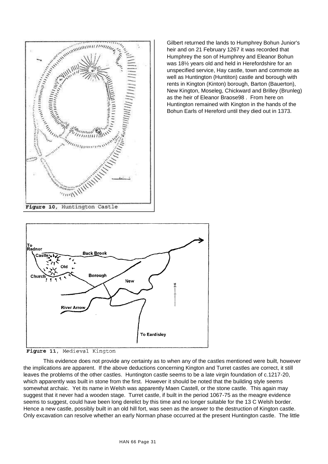

Gilbert returned the lands to Humphrey Bohun Junior's heir and on 21 February 1267 it was recorded that Humphrey the son of Humphrey and Eleanor Bohun was 18½ years old and held in Herefordshire for an unspecified service, Hay castle, town and commote as well as Huntington (Huntiton) castle and borough with rents in Kington (Kinton) borough, Barton (Bauerton), New Kington, Moseleg, Chickward and Brilley (Brunleg) as the heir of Eleanor Braose98 . From here on Huntington remained with Kington in the hands of the Bohun Earls of Hereford until they died out in 1373.





This evidence does not provide any certainty as to when any of the castles mentioned were built, however the implications are apparent. If the above deductions concerning Kington and Turret castles are correct, it still leaves the problems of the other castles. Huntington castle seems to be a late virgin foundation of c.1217-20, which apparently was built in stone from the first. However it should be noted that the building style seems somewhat archaic. Yet its name in Welsh was apparently Maen Castell, or the stone castle. This again may suggest that it never had a wooden stage. Turret castle, if built in the period 1067-75 as the meagre evidence seems to suggest, could have been long derelict by this time and no longer suitable for the 13 C Welsh border. Hence a new castle, possibly built in an old hill fort, was seen as the answer to the destruction of Kington castle. Only excavation can resolve whether an early Norman phase occurred at the present Huntington castle. The little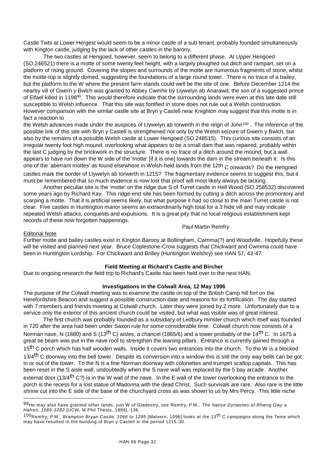Castle Twts at Lower Hergest would seem to be a minor castle of a sub tenant, probably founded simultaneously with Kington castle, judging by the lack of other castles in the barony.

The two castles at Hengoed, however, seem to belong to a different phase. At Upper Hengoed (SO.246521) there is a motte of some twenty feet height, with a largely ploughed out ditch and rampart, set on a platform of rising ground. Covering the slopes and surrounds of the motte are numerous fragments of stone, whilst the motte-top is slightly domed, suggesting the foundations of a large round tower. There is no trace of a bailey, but the platform to the W where the present farm stands could well be the site of one. Before December 1214 the nearby vill of Gwern y Bwlch was granted to Abbey Cwmhir by Llywelyn ab Anarawd, the son of a suggested prince of Elfael killed in 1198<sup>99</sup>. This would therefore indicate that the surrounding lands were even at this late date still susceptible to Welsh influence. That this site was fortified in stone does not rule out a Welsh construction. However comparison with the similar castle site at Bryn y Castell near Knighton may suggest that this motte is in fact a reaction to

the Welsh advances made under the auspices of Llywelyn ab lorwerth in the reign of John<sup>100</sup> . The inference of the possible link of this site with Bryn y Castell is strengthened not only by the Welsh seizure of Gwern y Bwlch, but also by the remains of a possible Welsh castle at Lower Hengoed (SO.248515). This curious site consists of an irregular twenty foot high mound, overlooking what appears to be a small dam that was repaired, probably within the last C judging by the brickwork in the structure. There is no trace of a ditch around the mound, but a wall appears to have run down the W side of the 'motte' [if it is one] towards the dam in the stream beneath it. Is this one of the 'aberrant mottes' as found elsewhere in Welsh-held lands from the 12th C onwards? Do the Hengoed castles mark the border of Llywelyn ab Iorwerth in 1215? The fragmentary evidence seems to suggest this, but it must be remembered that so much evidence is now lost that proof will most likely always be lacking.

Another peculiar site is the 'motte' on the ridge due S of Turret castle in Hell Wood (SO.258532) discovered some years ago by Richard Kay. This ridge-end site has been formed by cutting a ditch across the promontory and scarping a motte. That it is artificial seems likely, but what purpose it had so close to the main Turret castle is not clear. Five castles in Huntington manor seems an extraordinarily high total for a 3 hide vill and may indicate repeated Welsh attacks, conquests and expulsions. It is a great pity that no local religious establishment kept records of these now forgotten happenings.

#### Paul Martin Remfry

#### Editorial Note

l

Further motte and bailey castles exist in Kington Barony at Bollingham, Cwmma(?) and Woodville. Hopefully these will be visited and planned next year. Bruce Coplestone-Crow suggests that Chickward and Cwmma could have been in Huntington Lordship. For Chickward and Brilley (Huntington Welshry) see HAN 57, 43-47.

#### **Field Meeting at Richard's Castle and Bircher**

Due to ongoing research the field trip to Richard's Castle has been held over to the next HAN.

# **Investigations in the Colwall Area, 12 May 1996**

The purpose of the Colwall meeting was to examine the castle on top of the British Camp hill fort on the Herefordshire Beacon and suggest a possible construction date and reasons for its fortification. The day started with 7 members and friends meeting at Colwall church. Later they were joined by 2 more. Unfortunately due to a service only the exterior of this ancient church could be visited, but what was visible was of great interest.

The first church was probably founded as a subsidiary of Ledbury minster church which itself was founded in 720 after the area had been under Saxon rule for some considerable time. Colwall church now consists of a Norman nave, N (1880) and S (13<sup>th</sup> C) aisles, a chancel (1865/6) and a tower probably of the 14<sup>th</sup> C. In 1675 a great tie beam was put in the nave roof to strengthen the leaning pillars. Entrance is currently gained through a 15<sup>th</sup> C porch which has half wooden walls. Inside it covers two entrances into the church. To the W is a blocked 13/4<sup>th</sup> C doorway into the bell tower. Despite its conversion into a window this is still the only way bells can be got in or out of the tower. To the N is a fine Norman doorway with colonettes and trumpet scallop capitals. This has been reset in the S aisle wall, undoubtedly when the S nave wall was replaced by the 5 bay arcade. Another external door (13/4<sup>th</sup> C?) is in the W wall of the nave. In the E wall of the tower overlooking the entrance to the porch is the recess for a lost statue of Madonna with the dead Christ. Such survivals are rare. Also rare is the little shrine cut into the E side of the base of the churchyard cross as was shown to us by Mrs Percy. This little niche

<sup>99</sup>He may also have granted other lands, just W of Gladestry, see Remfry, P.M., *The Native Dynasties of Rhwng Gwy a Hafren, 1066-1282* [UCW, M.Phil Thesis, 1989], 136.

<sup>100</sup>Remfry, P.M., *Brampton Bryan Castle, 1066 to 1295* [Malvern, 1996] looks at the 13th C campaigns along the Teme which may have resulted in the building of Bryn y Castell in the period 1215 -30.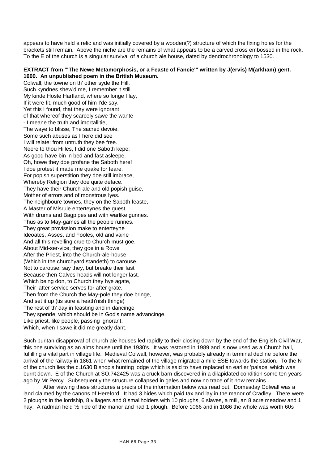appears to have held a relic and was initially covered by a wooden(?) structure of which the fixing holes for the brackets still remain. Above the niche are the remains of what appears to be a carved cross embossed in the rock. To the E of the church is a singular survival of a church ale house, dated by dendrochronology to 1530.

# **EXTRACT from '"The Newe Metamorphosis, or a Feaste of Fancie'" written by J(ervis) M(arkham) gent. 1600. An unpublished poem in the British Museum.**

Colwall, the towne on th' other syde the Hill, Such kyndnes shew'd me, I remember 't still. My kinde Hoste Hartland, where so longe I lay, If it were fit, much good of him I'de say. Yet this I found, that they were ignorant of that whereof they scarcely sawe the wante - - I meane the truth and imortallitie, The waye to blisse, The sacred devoie. Some such abuses as I here did see I will relate: from untruth they bee free. Neere to thou Hilles, I did one Saboth kepe: As good have bin in bed and fast asleepe. Oh, howe they doe profane the Saboth here! I doe protest it made me quake for feare. For popish superstition they doe still imbrace, Whereby Religion they doe quite deface. They have their Church-ale and old popish guise, Mother of errors and of monstrous lyes. The neighboure townes, they on the Saboth feaste, A Master of Misrule enterteynes the guest With drums and Bagpipes and with warlike gunnes. Thus as to May-games all the people runnes. They great provission make to enterteyne Ideoates, Asses, and Fooles, old and vaine And all this revelling crue to Church must goe. About Mid-ser-vice, they goe in a Rowe After the Priest, into the Church-ale-house (Which in the churchyard standeth) to carouse. Not to carouse, say they, but breake their fast Because then Calves-heads will not longer last. Which being don, to Church they hye agate, Their latter service serves for after grate. Then from the Church the May-pole they doe bringe, And set it up (tis sure a heath'nish thinge) The rest of th' day in feasting and in dancinge They spende, which should be in God's name advancinge. Like priest, like people, passing ignorant, Which, when I sawe it did me greatly dant.

Such puritan disapproval of church ale houses led rapidly to their closing down by the end of the English Civil War, this one surviving as an alms house until the 1930's. It was restored in 1989 and is now used as a Church hall, fulfilling a vital part in village life. Medieval Colwall, however, was probably already in terminal decline before the arrival of the railway in 1861 when what remained of the village migrated a mile ESE towards the station. To the N of the church lies the c.1630 Bishop's hunting lodge which is said to have replaced an earlier 'palace' which was burnt down. E of the Church at SO.742425 was a cruck barn discovered in a dilapidated condition some ten years ago by Mr Percy. Subsequently the structure collapsed in gales and now no trace of it now remains.

After viewing these structures a precis of the information below was read out. Domesday Colwall was a land claimed by the canons of Hereford. It had 3 hides which paid tax and lay in the manor of Cradley. There were 2 ploughs in the lordship, 8 villagers and 8 smallholders with 10 ploughs, 6 slaves, a mill, an 8 acre meadow and 1 hay. A radman held 1/2 hide of the manor and had 1 plough. Before 1066 and in 1086 the whole was worth 60s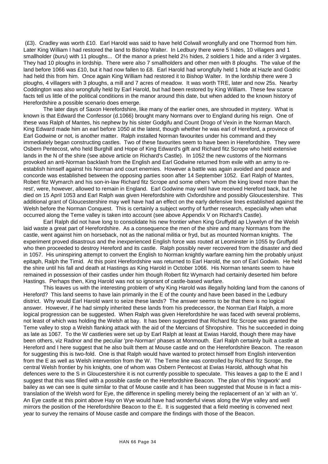(£3). Cradley was worth £10. Earl Harold was said to have held Colwall wrongfully and one Thormod from him. Later King William I had restored the land to Bishop Walter. In Ledbury there were 5 hides, 10 villagers and 1 smallholder (*buru*) with 11 ploughs... Of the manor a priest held 2½ hides, 2 soldiers 1 hide and a rider 3 virgates. They had 10 ploughs in lordship. There were also 7 smallholders and other men with 8 ploughs. The value of the land before 1066 was £10, but it had now fallen to £8. Earl Harold had wrongfully held 1 hide at Hazle and Godric had held this from him. Once again King William had restored it to Bishop Walter. In the lordship there were 3 ploughs, 4 villagers with 3 ploughs, a mill and 7 acres of meadow. It was worth TRE, later and now 25s. Nearby Coddington was also wrongfully held by Earl Harold, but had been restored by King William. These few scarce facts tell us little of the political conditions in the manor around this date, but when added to the known history of Herefordshire a possible scenario does emerge.

The later days of Saxon Herefordshire, like many of the earlier ones, are shrouded in mystery. What is known is that Edward the Confessor (d.1066) brought many Normans over to England during his reign. One of these was Ralph of Mantes, his nephew by his sister Godgifu and Count Drogo of Vexin in the Norman March. King Edward made him an earl before 1050 at the latest, though whether he was earl of Hereford, a province of Earl Godwine or not, is another matter. Ralph installed Norman favourites under his command and they immediately began constructing castles. Two of these favourites seem to have been in Herefordshire. They were Osbern Pentecost, who held Burghill and Hope of King Edward's gift and Richard fitz Scrope who held extensive lands in the N of the shire (see above article on Richard's Castle). In 1052 the new customs of the Normans provoked an anti-Norman backlash from the English and Earl Godwine returned from exile with an army to reestablish himself against his Norman and court enemies. However a battle was again avoided and peace and concorde was established between the opposing parties soon after 14 September 1052. Earl Ralph of Mantes, Robert fitz Wymarch and his son-in-law Richard fitz Scrope and some others 'whom the king loved more than the rest', were, however, allowed to remain in England. Earl Godwine may well have received Hereford back, but he died on 15 April 1053 and Earl Ralph was given Herefordshire with Oxfordshire and possibly Gloucestershire. This additional grant of Gloucestershire may well have had an effect on the early defensive lines established against the Welsh before the Norman Conquest. This is certainly a subject worthy of further research, especially when what occurred along the Teme valley is taken into account (see above Appendix V on Richard's Castle).

Earl Ralph did not have long to consolidate his new frontier when King Gruffydd ap Llywelyn of the Welsh laid waste a great part of Herefordshire. As a consequence the men of the shire and many Normans from the castle, went against him on horseback, not as the national militia or fryd, but as mounted Norman knights. The experiment proved disastrous and the inexperienced English force was routed at Leominster in 1055 by Gruffydd who then proceeded to destroy Hereford and its castle. Ralph possibly never recovered from the disaster and died in 1057. His uninspiring attempt to convert the English to Norman knightly warfare earning him the probably unjust epitaph, Ralph the Timid. At this point Herefordshire was returned to Earl Harold, the son of Earl Godwin. He held the shire until his fall and death at Hastings as King Harold in October 1066. His Norman tenants seem to have remained in possession of their castles under him though Robert fitz Wymarch had certainly deserted him before Hastings. Perhaps then, King Harold was not so ignorant of castle-based warfare.

This leaves us with the interesting problem of why King Harold was illegally holding land from the canons of Hereford? This land seems to have lain primarily in the E of the county and have been based in the Ledbury district. Why would Earl Harold want to seize these lands? The answer seems to be that there is no logical answer. However, if he had simply inherited these lands from his predecessor, the Norman Earl Ralph, a more logical progression can be suggested. When Ralph was given Herefordshire he was faced with several problems, not least of which was holding the Welsh at bay. It has been suggested that Richard fitz Scrope was granted the Teme valley to stop a Welsh flanking attack with the aid of the Mercians of Shropshire. This he succeeded in doing as late as 1067. To the W castleries were set up by Earl Ralph at least at Ewias Harold, though there may have been others, viz Radnor and the peculiar 'pre-Norman' phases at Monmouth. Earl Ralph certainly built a castle at Hereford and I here suggest that he also built them at Mouse castle and on the Herefordshire Beacon. The reason for suggesting this is two-fold. One is that Ralph would have wanted to protect himself from English intervention from the E as well as Welsh intervention from the W. The Teme line was controlled by Richard fitz Scrope, the central Welsh frontier by his knights, one of whom was Osbern Pentecost at Ewias Harold, although what his defences were to the S in Gloucestershire it is not currently possible to speculate. This leaves a gap to the E and I suggest that this was filled with a possible castle on the Herefordshire Beacon. The plan of this 'ringwork' and bailey as we can see is quite similar to that of Mouse castle and it has been suggested that Mouse is in fact a mistranslation of the Welsh word for Eye, the difference in spelling merely being the replacement of an 'a' with an 'o'. An Eye castle at this point above Hay on Wye would have had wonderful views along the Wye valley and well mirrors the position of the Herefordshire Beacon to the E. It is suggested that a field meeting is convened next year to survey the remains of Mouse castle and compare the findings with those of the Beacon.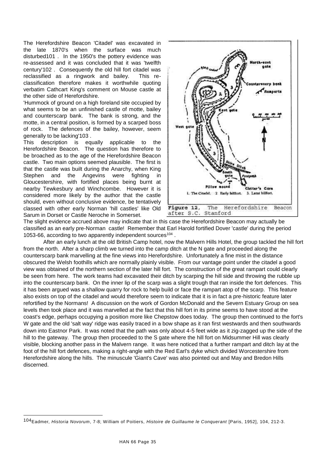The Herefordshire Beacon 'Citadel' was excavated in the late 1870's when the surface was much disturbed101 . In the 1950's the pottery evidence was re-assessed and it was concluded that it was 'twelfth century'102 . Consequently the old hill fort citadel was reclassified as a ringwork and bailey. This reclassification therefore makes it worthwhile quoting verbatim Cathcart King's comment on Mouse castle at the other side of Herefordshire.

'Hummock of ground on a high foreland site occupied by what seems to be an unfinished castle of motte, bailey and counterscarp bank. The bank is strong, and the motte, in a central position, is formed by a scarped boss of rock. The defences of the bailey, however, seem generally to be lacking'103 .

This description is equally applicable to the Herefordshire Beacon. The question has therefore to be broached as to the age of the Herefordshire Beacon castle. Two main options seemed plausible. The first is that the castle was built during the Anarchy, when King Stephen and the Angevins were fighting in Gloucestershire, with fortified places being burnt at nearby Tewkesbury and Winchcombe. However it is considered more likely by the author that the castle should, even without conclusive evidence, be tentatively classed with other early Norman 'hill castles' like Old Sarum in Dorset or Castle Neroche in Somerset.

l



The slight evidence accrued above may indicate that in this case the Herefordshire Beacon may actually be classified as an early pre-Norman castle! Remember that Earl Harold fortified Dover 'castle' during the period 1053-66, according to two apparently independent sources<sup>104</sup>.

After an early lunch at the old British Camp hotel, now the Malvern Hills Hotel, the group tackled the hill fort from the north. After a sharp climb we turned into the camp ditch at the N gate and proceeded along the counterscarp bank marvelling at the fine views into Herefordshire. Unfortunately a fine mist in the distance obscured the Welsh foothills which are normally plainly visible. From our vantage point under the citadel a good view was obtained of the northern section of the later hill fort. The construction of the great rampart could clearly be seen from here. The work teams had excavated their ditch by scarping the hill side and throwing the rubble up into the counterscarp bank. On the inner lip of the scarp was a slight trough that ran inside the fort defences. This it has been argued was a shallow quarry for rock to help build or face the rampart atop of the scarp. This feature also exists on top of the citadel and would therefore seem to indicate that it is in fact a pre-historic feature later refortified by the Normans! A discussion on the work of Gordon McDonald and the Severn Estuary Group on sea levels then took place and it was marvelled at the fact that this hill fort in its prime seems to have stood at the coast's edge, perhaps occupying a position more like Chepstow does today. The group then continued to the fort's W gate and the old 'salt way' ridge was easily traced in a bow shape as it ran first westwards and then southwards down into Eastnor Park. It was noted that the path was only about 4-5 feet wide as it zig-zagged up the side of the hill to the gateway. The group then proceeded to the S gate where the hill fort on Midsummer Hill was clearly visible, blocking another pass in the Malvern range. It was here noticed that a further rampart and ditch lay at the foot of the hill fort defences, making a right-angle with the Red Earl's dyke which divided Worcestershire from Herefordshire along the hills. The minuscule 'Giant's Cave' was also pointed out and May and Bredon Hills discerned.

<sup>104</sup>Eadmer, *Historia Novorum*, 7-8; William of Poitiers, *Histoire de Guillaume le Conquerant* [Paris, 1952], 104, 212-3.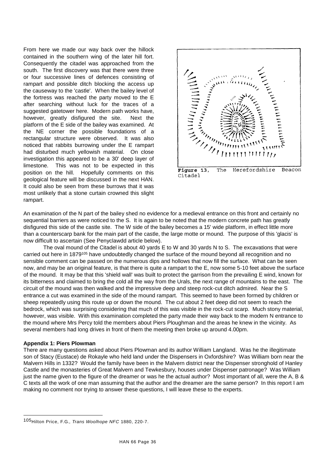From here we made our way back over the hillock contained in the southern wing of the later hill fort. Consequently the citadel was approached from the south. The first discovery was that there were three or four successive lines of defences consisting of rampart and possible ditch blocking the access up the causeway to the 'castle'. When the bailey level of the fortress was reached the party moved to the E after searching without luck for the traces of a suggested gatetower here. Modern path works have, however, greatly disfigured the site. Next the platform of the E side of the bailey was examined. At the NE corner the possible foundations of a rectangular structure were observed. It was also noticed that rabbits burrowing under the E rampart had disturbed much yellowish material. On close investigation this appeared to be a 30' deep layer of limestone. This was not to be expected in this position on the hill. Hopefully comments on this geological feature will be discussed in the next HAN. It could also be seen from these burrows that it was most unlikely that a stone curtain crowned this slight rampart.



Figure 13, The Herefordshire Beacon Citadel

An examination of the N part of the bailey shed no evidence for a medieval entrance on this front and certainly no sequential barriers as were noticed to the S. It is again to be noted that the modern concrete path has greatly disfigured this side of the castle site. The W side of the bailey becomes a 15' wide platform, in effect little more than a counterscarp bank for the main part of the castle, the large motte or mound. The purpose of this 'glacis' is now difficult to ascertain (See Penyclawdd article below).

The oval mound of the Citadel is about 40 yards E to W and 30 yards N to S. The excavations that were carried out here in 1879<sup>105</sup> have undoubtedly changed the surface of the mound beyond all recognition and no sensible comment can be passed on the numerous dips and hollows that now fill the surface. What can be seen now, and may be an original feature, is that there is quite a rampart to the E, now some 5-10 feet above the surface of the mound. It may be that this 'shield wall' was built to protect the garrison from the prevailing E wind, known for its bitterness and claimed to bring the cold all the way from the Urals, the next range of mountains to the east. The circuit of the mound was then walked and the impressive deep and steep rock-cut ditch admired. Near the S entrance a cut was examined in the side of the mound rampart. This seemed to have been formed by children or sheep repeatedly using this route up or down the mound. The cut about 2 feet deep did not seem to reach the bedrock, which was surprising considering that much of this was visible in the rock-cut scarp. Much stony material, however, was visible. With this examination completed the party made their way back to the modern N entrance to the mound where Mrs Percy told the members about Piers Ploughman and the areas he knew in the vicinity. As several members had long drives in front of them the meeting then broke up around 4.00pm.

#### **Appendix 1: Piers Plowman**

l

There are many questions asked about Piers Plowman and its author William Langland. Was he the illegitimate son of Stacy (Eustace) de Rokayle who held land under the Dispensers in Oxfordshire? Was William born near the Malvern Hills in 1332? Would the family have been in the Malvern district near the Dispenser stronghold of Hanley Castle and the monasteries of Great Malvern and Tewkesbury, houses under Dispenser patronage? Was William just the name given to the figure of the dreamer or was he the actual author? Most important of all, were the A, B & C texts all the work of one man assuming that the author and the dreamer are the same person? In this report I am making no comment nor trying to answer these questions, I will leave these to the experts.

<sup>105</sup>Hilton Price, F.G., *Trans Woolhope NFC* 1880, 220-7.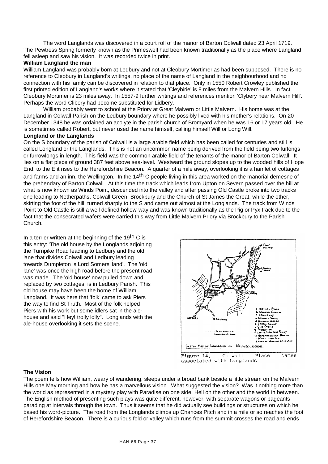The word Langlands was discovered in a court roll of the manor of Barton Colwall dated 23 April 1719. The Pewtress Spring formerly known as the Primeswell had been known traditionally as the place where Langland fell asleep and saw his vision. It was recorded twice in print.

# **William Langland the man**

William Langland was probably born at Ledbury and not at Cleobury Mortimer as had been supposed. There is no reference to Cleobury in Langland's writings, no place of the name of Langland in the neighbourhood and no connection with his family can be discovered in relation to that place. Only in 1550 Robert Crowley published the first printed edition of Langland's works where it stated that 'Cleybirie' is 8 miles from the Malvern Hills. In fact Cleobury Mortimer is 23 miles away. In 1557-9 further writings and references mention 'Clybery near Malvern Hill'. Perhaps the word Clibery had become substituted for Lidbery.

William probably went to school at the Priory at Great Malvern or Little Malvern. His home was at the Langland in Colwall Parish on the Ledbury boundary where he possibly lived with his mother's relations. On 20 December 1348 he was ordained an acolyte in the parish church of Bromyard when he was 16 or 17 years old. He is sometimes called Robert, but never used the name himself, calling himself Will or Long Will.

# **Longland or the Langlands**

On the S boundary of the parish of Colwall is a large arable field which has been called for centuries and still is called Longland or the Langlands. This is not an uncommon name being derived from the field being two furlongs or furrowlongs in length. This field was the common arable field of the tenants of the manor of Barton Colwall. It lies on a flat piece of ground 387 feet above sea-level. Westward the ground slopes up to the wooded hills of Hope End, to the E it rises to the Herefordshire Beacon. A quarter of a mile away, overlooking it is a hamlet of cottages and farms and an inn, the Wellington. In the 14<sup>th</sup> C people living in this area worked on the manorial demesne of the prebendary of Barton Colwall. At this time the track which leads from Upton on Severn passed over the hill at what is now known as Winds Point, descended into the valley and after passing Old Castle broke into two tracks one leading to Netherpaths, Colwall Green, Brockbury and the Church of St James the Great, while the other, skirting the foot of the hill, turned sharply to the S and came out almost at the Longlands. The track from Winds Point to Old Castle is still a well defined hollow-way and was known traditionally as the Pig or Pyx track due to the fact that the consecrated wafers were carried this way from Little Malvern Priory via Brockbury to the Parish Church.

In a terrier written at the beginning of the 19<sup>th</sup> C is this entry: 'The old house by the Longlands adjoining the Turnpike Road leading to Ledbury and the old lane that divides Colwall and Ledbury leading towards Dumpleton is Lord Somers' land'. The 'old lane' was once the high road before the present road was made. The 'old house' now pulled down and replaced by two cottages, is in Ledbury Parish. This old house may have been the home of William Langland. It was here that 'folk' came to ask Piers the way to find St Truth. Most of the folk helped Piers with his work but some idlers sat in the alehouse and said "Hey! trolly lolly". Longlands with the ale-house overlooking it sets the scene.



#### **The Vision**

The poem tells how William, weary of wandering, sleeps under a broad bank beside a little stream on the Malvern Hills one May morning and how he has a marvellous vision. What suggested the vision? Was it nothing more than the world as represented in a mystery play with Paradise on one side, Hell on the other and the world in between. The English method of presenting such plays was quite different, however, with separate wagons or pageants parading at intervals through the town. Thus it seems that he did actually see buildings or structures on which he based his word-picture. The road from the Longlands climbs up Chances Pitch and in a mile or so reaches the foot of Herefordshire Beacon. There is a curious fold or valley which runs from the summit crosses the road and ends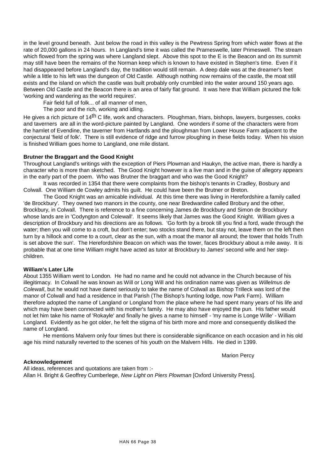in the level ground beneath. Just below the road in this valley is the Pewtress Spring from which water flows at the rate of 20,000 gallons in 24 hours. In Langland's time it was called the Prameswelle, later Primeswell. The stream which flowed from the spring was where Langland slept. Above this spot to the E is the Beacon and on its summit may still have been the remains of the Norman keep which is known to have existed in Stephen's time. Even if it had disappeared before Langland's day, the tradition would still remain. A deep dale was at the dreamer's feet while a little to his left was the dungeon of Old Castle. Although nothing now remains of the castle, the moat still exists and the island on which the castle was built probably only crumbled into the water around 150 years ago. Between Old Castle and the Beacon there is an area of fairly flat ground. It was here that William pictured the folk 'working and wandering as the world requires'.

Fair field full of folk... of all manner of men,

The poor and the rich, working and idling.

He gives a rich picture of 14<sup>th</sup> C life, work and characters. Ploughman, friars, bishops, lawyers, burgesses, cooks and taverners are all in the word-picture painted by Langland. One wonders if some of the characters were from the hamlet of Evendine, the taverner from Hartlands and the ploughman from Lower House Farm adjacent to the conjectural 'field of folk'. There is still evidence of ridge and furrow ploughing in these fields today. When his vision is finished William goes home to Langland, one mile distant.

# **Brutner the Braggart and the Good Knight**

Throughout Langland's writings with the exception of Piers Plowman and Haukyn, the active man, there is hardly a character who is more than sketched. The Good Knight however is a live man and in the guise of allegory appears in the early part of the poem. Who was Brutner the braggart and who was the Good Knight?

It was recorded in 1354 that there were complaints from the bishop's tenants in Cradley, Bosbury and Colwall. One William de Cowley admits his guilt. He could have been the Brutner or Breton.

The Good Knight was an amicable individual. At this time there was living in Herefordshire a family called 'de Brockbury'. They owned two manors in the county, one near Bredwardine called Brobury and the other, Brockbury, in Colwall. There is reference to a fine concerning James de Brockbury and Simon de Brockbury whose lands are in 'Codyngton and Colewall'. It seems likely that James was the Good Knight. William gives a description of Brockbury and his directions are as follows. 'Go forth by a brook till you find a ford, wade through the water; then you will come to a croft, but don't enter; two stocks stand there, but stay not, leave them on the left then turn by a hillock and come to a court, clear as the sun, with a moat the manor all around; the tower that holds Truth is set above the sun'. The Herefordshire Beacon on which was the tower, faces Brockbury about a mile away. It is probable that at one time William might have acted as tutor at Brockbury to James' second wife and her stepchildren.

#### **William's Later Life**

About 1355 William went to London. He had no name and he could not advance in the Church because of his illegitimacy. In Colwall he was known as Will or Long Will and his ordination name was given as *Willelmus de Colewall*, but he would not have dared seriously to take the name of Colwall as Bishop Trilleck was lord of the manor of Colwall and had a residence in that Parish (The Bishop's hunting lodge, now Park Farm). William therefore adopted the name of Langland or Longland from the place where he had spent many years of his life and which may have been connected with his mother's family. He may also have enjoyed the pun. His father would not let him take his name of 'Rokayle' and finally he gives a name to himself - 'my name is Longe Wille' - William Longland. Evidently as he got older, he felt the stigma of his birth more and more and consequently disliked the name of Longland.

He mentions Malvern only four times but there is considerable significance on each occasion and in his old age his mind naturally reverted to the scenes of his youth on the Malvern Hills. He died in 1399.

Marion Percy

# **Acknowledgement**

All ideas, references and quotations are taken from :- Allan H. Bright & Geoffrey Cumberlege, *New Light on Piers Plowman* [Oxford University Press].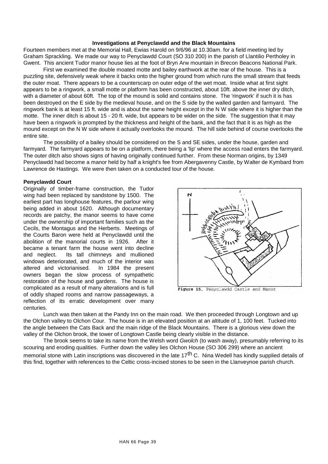#### **Investigations at Penyclawdd and the Black Mountains**

Fourteen members met at the Memorial Hall, Ewias Harold on 9/6/96 at 10.30am. for a field meeting led by Graham Sprackling. We made our way to Penyclawdd Court (SO 310 200) in the parish of Llantilio Pertholey in Gwent. This ancient Tudor manor house lies at the foot of Bryn Arw mountain in Brecon Beacons National Park.

First we examined the double moated motte and bailey earthwork at the rear of the house. This is a puzzling site, defensively weak where it backs onto the higher ground from which runs the small stream that feeds the outer moat. There appears to be a counterscarp on outer edge of the wet moat. Inside what at first sight appears to be a ringwork, a small motte or platform has been constructed, about 10ft. above the inner dry ditch, with a diameter of about 60ft. The top of the mound is solid and contains stone. The 'ringwork' if such it is has been destroyed on the E side by the medieval house, and on the S side by the walled garden and farmyard. The ringwork bank is at least 15 ft. wide and is about the same height except in the N W side where it is higher than the motte. The inner ditch is about 15 - 20 ft. wide, but appears to be wider on the side. The suggestion that it may have been a ringwork is prompted by the thickness and height of the bank, and the fact that it is as high as the mound except on the N W side where it actually overlooks the mound. The hill side behind of course overlooks the entire site.

The possibility of a bailey should be considered on the S and SE sides, under the house, garden and farmyard. The farmyard appears to be on a platform, there being a 'lip' where the access road enters the farmyard. The outer ditch also shows signs of having originally continued further. From these Norman origins, by 1349 Penyclawdd had become a manor held by half a knight's fee from Abergavenny Castle, by Walter de Kymbard from Lawrence de Hastings. We were then taken on a conducted tour of the house.

#### **Penyclawdd Court**

Originally of timber-frame construction, the Tudor wing had been replaced by sandstone by 1500. The earliest part has longhouse features, the parlour wing being added in about 1620. Although documentary records are patchy, the manor seems to have come under the ownership of important families such as the Cecils, the Montagus and the Herberts. Meetings of the Courts Baron were held at Penyclawdd until the abolition of the manorial courts in 1926. After it became a tenant farm the house went into decline and neglect. Its tall chimneys and mullioned windows deteriorated, and much of the interior was altered and victorianised. In 1984 the present altered and victorianised. owners began the slow process of sympathetic restoration of the house and gardens. The house is complicated as a result of many alterations and is full of oddly shaped rooms and narrow passageways, a reflection of its erratic development over many centuries.



Figure 15, Penyclawdd Castle and Manor

Lunch was then taken at the Pandy Inn on the main road. We then proceeded through Longtown and up the Olchon valley to Olchon Cour. The house is in an elevated position at an altitude of 1, 100 feet. Tucked into the angle between the Cats Back and the main ridge of the Black Mountains. There is a glorious view down the valley of the Olchon brook, the tower of Longtown Castle being clearly visible in the distance.

The brook seems to take its name from the Welsh word *Gwolch* (to wash away), presumably referring to its scouring and eroding qualities. Further down the valley lies Olchon House (SO 306 299) where an ancient memorial stone with Latin inscriptions was discovered in the late 17<sup>th</sup> C. Nina Wedell has kindly supplied details of this find, together with references to the Celtic cross-incised stones to be seen in the Llanveynoe parish church.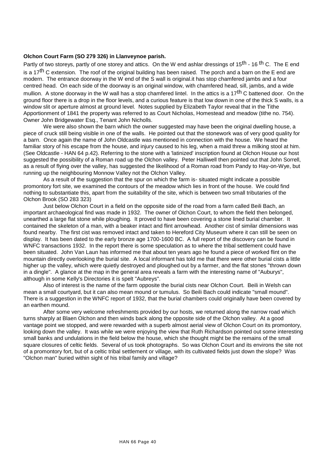#### **Olchon Court Farm (SO 279 326) in Llanveynoe parish.**

Partly of two storeys, partly of one storey and attics. On the W end ashlar dressings of 15<sup>th</sup> - 16<sup>th</sup> C. The E end is a 17<sup>th</sup> C extension. The roof of the original building has been raised. The porch and a barn on the E end are modern. The entrance doorway in the W end of the S wall is original.it has stop chamfered jambs and a four centred head. On each side of the doorway is an original window, with chamfered head, sill, jambs, and a wide mullion. A stone doorway in the W wall has a stop chamfered lintel. In the attics is a 17<sup>th</sup> C battened door. On the ground floor there is a drop in the floor levels, and a curious feature is that low down in one of the thick S walls, is a window slit or aperture almost at ground level. Notes supplied by Elizabeth Taylor reveal that in the Tithe Apportionment of 1841 the property was referred to as Court Nicholas, Homestead and meadow (tithe no. 754). Owner John Bridgewater Esq., Tenant John Nicholls.

We were also shown the barn which the owner suggested may have been the original dwelling house, a piece of cruck still being visible in one of the walls. He pointed out that the stonework was of very good quality for a barn. Once again the name of John Oldcastle was mentioned in connection with the house. We heard the familiar story of his escape from the house, and injury caused to his leg, when a maid threw a milking stool at him. (See Oldcastle - HAN 64 p.42). Referring to the stone with a 'latinized' inscription found at Olchon House our host suggested the possibility of a Roman road up the Olchon valley. Peter Halliwell then pointed out that John Sorrell, as a result of flying over the valley, has suggested the likelihood of a Roman road from Pandy to Hay-on-Wye, but running up the neighbouring Monnow Valley not the Olchon Valley.

As a result of the suggestion that the spur on which the farm is- situated might indicate a possible promontory fort site, we examined the contours of the meadow which lies in front of the house. We could find nothing to substantiate this, apart from the suitability of the site, which is between two small tributaries of the Olchon Brook (SO 283 323)

Just below Olchon Court in a field on the opposite side of the road from a farm called Beili Bach, an important archaeological find was made in 1932. The owner of Olchon Court, to whom the field then belonged, unearthed a large flat stone while ploughing. It proved to have been covering a stone lined burial chamber. It contained the skeleton of a man, with a beaker intact and flint arrowhead. Another cist of similar dimensions was found nearby. The first cist was removed intact and taken to Hereford City Museum where it can still be seen on display. It has been dated to the early bronze age 1700-1600 BC. A full report of the discovery can be found in WNFC transactions 1932. In the report there is some speculation as to where the tribal settlement could have been situated. John Van Laun has informed me that about ten years ago he found a piece of worked flint on the mountain directly overlooking the burial site. A local informant has told me that there were other burial cists a little higher up the valley, which were quietly destroyed and ploughed out by a farmer, and the flat stones "thrown down in a dingle". A glance at the map in the general area reveals a farm with the interesting name of "Auburys", although in some Kelly's Directories it is spelt "Aubreys".

Also of interest is the name of the farm opposite the burial cists near Olchon Court. Beili in Welsh can mean a small courtyard, but it can also mean mound or tumulus. So Beili Bach could indicate "small mound". There is a suggestion in the WNFC report of 1932, that the burial chambers could originally have been covered by an earthen mound.

After some very welcome refreshments provided by our hosts, we returned along the narrow road which turns sharply at Blaen Olchon and then winds back along the opposite side of the Olchon valley. At a good vantage point we stopped, and were rewarded with a superb almost aerial view of Olchon Court on its promontory, looking down the valley. It was while we were enjoying the view that Ruth Richardson pointed out some interesting small banks and undulations in the field below the house, which she thought might be the remains of the small square closures of celtic fields. Several of us took photographs. So was Olchon Court and its environs the site not of a promontory fort, but of a celtic tribal settlement or village, with its cultivated fields just down the slope? Was "Olchon man" buried within sight of his tribal family and village?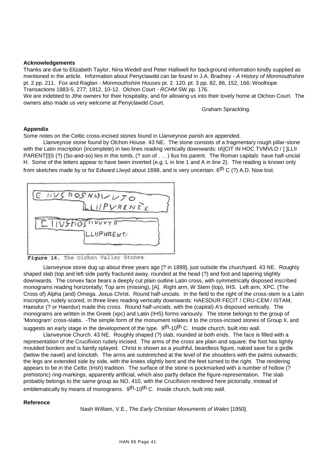#### **Acknowledgements**

Thanks are due to Elizabeth Taylor, Nina Wedell and Peter Halliwell for background information kindly supplied as mentioned in the article. Information about Penyclawdd can be found in J.A. Bradney - *A History of Monmouthshire* pt. 2 pp. 211. Fox and Raglan - *Monmouthshire Houses* pt. 2. 120. pt. 3 pp. 82, 86, 152, 166; Woolhope Transactions 1883-5, 277; 1912, 10-12. Olchon Court - *RCHM* SW pp. 176.

We are indebted to Jthe owners for their hospitality, and for allowing us into their lovely home at Olchon Court. The owners also made us very welcome at Penyclawdd Court.

Graham Sprackling.

#### **Appendix**

Some notes on the Celtic cross-incised stones found in Llanveynoe parish are appended.

Llanveynoe stone found by Olchon House. 43 NE. The stone consists of a fragmentary rough pillar-stone with the Latin inscription (incomplete) in two lines reading vertically downwards: IA]CIT IN HOC TVMVLO / [ ]LLII PARENT[I]S (?) (So-and-so) lies in this tomb, (? son of ...) Ilus his parent. The Roman capitals have half-uncial H. Some of the letters appear to have been inverted (e.g. L in line 1 and A in line 2). The reading is known only from sketches made by or for Edward Llwyd about 1698, and is very uncertain.  $6^{th}$  C (?) A.D. Now lost.

| E HVS DOSNNLL50    |
|--------------------|
| LLIIPVRENTE        |
| $-1115h0511111170$ |
| LLIIPHRELITA       |
|                    |

Figure 16, The Olchon Valley Stones

Llanveynoe stone dug up about three years ago [? in 1899], just outside the churchyard. 43 NE. Roughly shaped slab (top and left side partly fractured away, rounded at the head (?) and foot and tapering slightly downwards. The convex face bears a deeply cut plain outline Latin cross, with symmetrically disposed inscribed monograms reading horizontally; Top arm (missing), [A]. Right arm, W Stem (top), IHS. Left arm, XPC. (The Cross of) Alpha (and) Omega. Jesus Christ. Round half-uncials. In the field to the right of the cross-stem is a Latin inscription, rudely scored, in three lines reading vertically downwards: HAESDUR FECIT / CRU-CEM / ISTAM, Haesdur (? or Haerdur) made this cross. Round half-uncials, with the (capital) A's disposed vertically. The monograms are written in the Greek (xpc) and Latin (IHS) forms variously. The stone belongs to the group of 'Monogram' cross-slabs. -The simple form of the monument relates it to the cross-incised stones of Group II, and suggests an early stage in the development of the type. 9<sup>th</sup>-10<sup>th</sup> C. Inside church, built into wall.

Llanveynoe Church. 43 NE. Roughly shaped (?) slab, rounded at both ends. The face is filled with a representation of the Crucifixion rudely incised. The arms of the cross are plain and square; the foot has lightly moulded borders and is faintly splayed. Christ is shown as a youthful, beardless figure, naked save for a girdle (below the navel) and loincloth. The arms are outstretched at the level of the shoulders with the palms outwards; the legs are extended side by side, with the knees slightly bent and the feet turned to the right. The rendering appears to be in the Celtic (Irish) tradition. The surface of the stone is pockmarked with a number of hollow (? prehistoric) ring-markings, apparently artificial, which also partly deface the figure-representation. The slab probably belongs to the same group as NO. 410, with the Crucifixion rendered here pictorially, instead of emblematically by means of monograms. 9<sup>th</sup>-10<sup>th</sup> C. Inside church, built into wall.

#### **Reference**

Nash William, V.E., *The Early Christian Monuments of Wales* [1950].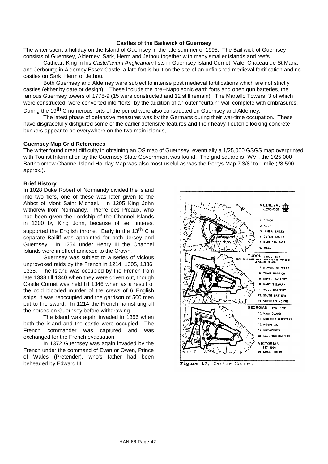#### **Castles of the Bailiwick of Guernsey**

The writer spent a holiday on the Island of Guernsey in the late summer of 1995. The Bailiwick of Guernsey consists of Guernsey, Alderney, Sark, Herm and Jethou together with many smaller islands and reefs.

Cathcart-King in his *Castellarium Anglicanum* lists in Guernsey Island Cornet, Vale, Chateau de St Maria and Jerbourg; in Alderney Essex Castle, a late fort is built on the site of an unfinished medieval fortification and no castles on Sark, Herm or Jethou.

Both Guernsey and Alderney were subject to intense post medieval fortifications which are not strictly castles (either by date or design). These include the pre--Napoleonic earth forts and open gun batteries, the famous Guernsey towers of 1778-9 (15 were constructed and 12 still remain). The Martello Towers, 3 of which were constructed, were converted into "forts" by the addition of an outer "curtain" wall complete with embrasures.

During the 19<sup>th</sup> C numerous forts of the period were also constructed on Guernsey and Alderney.

The latest phase of defensive measures was by the Germans during their war-time occupation. These have disgracefully disfigured some of the earlier defensive features and their heavy Teutonic looking concrete bunkers appear to be everywhere on the two main islands,

#### **Guernsey Map Grid References**

The writer found great difficulty in obtaining an OS map of Guernsey, eventually a 1/25,000 GSGS map overprinted with Tourist Information by the Guernsey State Government was found. The grid square is "WV", the 1/25,000 Bartholomew Channel Island Holiday Map was also most useful as was the Perrys Map 7 3/8" to 1 mile (l/8,590 approx.).

#### **Brief History**

In 1028 Duke Robert of Normandy divided the island into two fiefs, one of these was later given to the Abbot of Mont Saint Michael. In 1205 King John withdrew from Normandy. Pierre des Preaux, who had been given the Lordship of the Channel Islands in 1200 by King John, because of self interest supported the English throne. Early in the  $13<sup>th</sup>$  C a separate Bailiff was appointed for both Jersey and Guernsey. In 1254 under Henry III the Channel Islands were in effect annexed to the Crown.

Guernsey was subject to a series of vicious unprovoked raids by the French in 1214, 1305, 1336, 1338. The Island was occupied by the French from late 1338 till 1340 when they were driven out, though Castle Cornet was held till 1346 when as a result of the cold blooded murder of the crews of 6 English ships, it was reoccupied and the garrison of 500 men put to the sword. In 1214 the French hamstrung all the horses on Guernsey before withdrawing.

The island was again invaded in 1356 when both the island and the castle were occupied. The French commander was captured and was exchanged for the French evacuation.

In 1372 Guernsey was again invaded by the French under the command of Evan or Owen, Prince of Wales (Pretender), who's father had been beheaded by Edward III.



Figure 17, Castle Cornet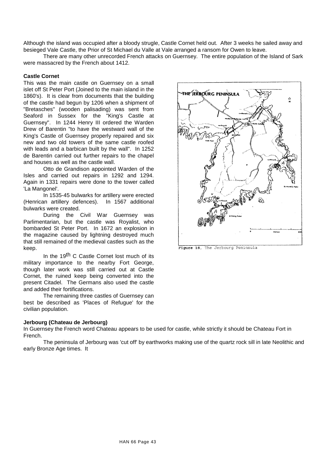Although the island was occupied after a bloody strugle, Castle Cornet held out. After 3 weeks he sailed away and besieged Vale Castle, the Prior of St Michael du Valle at Vale arranged a ransom for Owen to leave.

There are many other unrecorded French attacks on Guernsey. The entire population of the Island of Sark were massacred by the French about 1412.

#### **Castle Cornet**

This was the main castle on Guernsey on a small islet off St Peter Port (Joined to the main island in the 1860's). It is clear from documents that the building of the castle had begun by 1206 when a shipment of "Bretasches" (wooden palisading) was sent from Seaford in Sussex for the "King's Castle at Guernsey". In 1244 Henry III ordered the Warden Drew of Barentin "to have the westward wall of the King's Castle of Guernsey properly repaired and six new and two old towers of the same castle roofed with leads and a barbican built by the wall". In 1252 de Barentin carried out further repairs to the chapel and houses as well as the castle wall.

Otto de Grandison appointed Warden of the Isles and carried out repairs in 1292 and 1294. Again in 1331 repairs were done to the tower called 'La Mangonel'.

In 1535-45 bulwarks for artillery were erected (Henrican artillery defences). In 1567 additional bulwarks were created.

During the Civil War Guernsey was Parlimentarian, but the castle was Royalist, who bombarded St Peter Port. In 1672 an explosion in the magazine caused by lightning destroyed much that still remained of the medieval castles such as the keep.

In the 19<sup>th</sup> C Castle Cornet lost much of its military importance to the nearby Fort George, though later work was still carried out at Castle Cornet, the ruined keep being converted into the present Citadel. The Germans also used the castle and added their fortifications.

The remaining three castles of Guernsey can best be described as 'Places of Refugue' for the civilian population.

# **Jerbourg (Chateau de Jerbourg)**

In Guernsey the French word Chateau appears to be used for castle, while strictly it should be Chateau Fort in French.

The peninsula of Jerbourg was 'cut off' by earthworks making use of the quartz rock sill in late Neolithic and early Bronze Age times. It



Figure 18, The Jerbourg Peninsula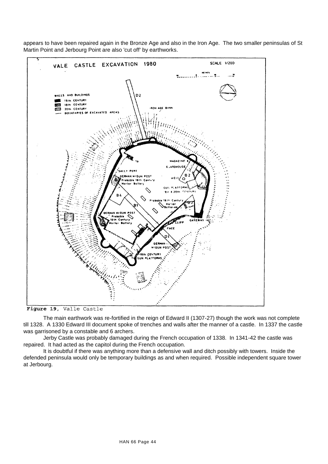

appears to have been repaired again in the Bronze Age and also in the Iron Age. The two smaller peninsulas of St Martin Point and Jerbourg Point are also 'cut off' by earthworks.

Figure 19, Valle Castle

The main earthwork was re-fortified in the reign of Edward II (1307-27) though the work was not complete till 1328. A 1330 Edward III document spoke of trenches and walls after the manner of a castle. In 1337 the castle was garrisoned by a constable and 6 archers.

Jerby Castle was probably damaged during the French occupation of 1338. In 1341-42 the castle was repaired. It had acted as the capitol during the French occupation.

It is doubtful if there was anything more than a defensive wall and ditch possibly with towers. Inside the defended peninsula would only be temporary buildings as and when required. Possible independent square tower at Jerbourg.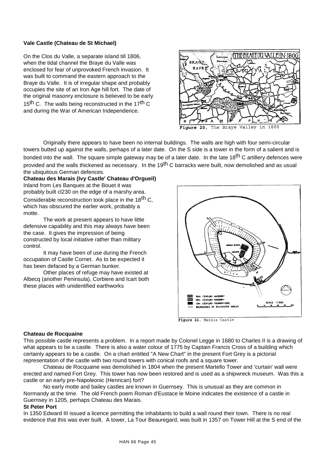# **Vale Castle (Chateau de St Michael)**

On the Clos du Valle, a separate island till 1806, when the tidal channel the Braye du Valle was enclosed for fear of unprovoked French invasion. It was built to command the eastern approach to the Braye du Valle. It is of irregular shape and probably occupies the site of an Iron Age hill fort. The date of the original masonry enclosure is believed to be early 15<sup>th</sup> C. The walls being reconstructed in the 17<sup>th</sup> C and during the War of American Independence.



Figure 20, The Braye Valley in 1800

Originally there appears to have been no internal buildings. The walls are high with four semi-circular towers butted up against the walls, perhaps of a later date. On the S side is a tower in the form of a salient and is bonded into the wall. The square simple gateway may be of a later date. In the late 18<sup>th</sup> C artillery defences were provided and the walls thickened as necessary. In the 19<sup>th</sup> C barracks were built, now demolished and as usual the ubiquitous German defences.

**Chateau des Marais (Ivy Castle' Chateau d'Orgueil)** Inland from Les Banques at the Bouet it was probably built cl230 on the edge of a marshy area. Considerable reconstruction took place in the 18<sup>th</sup> C, which has obscured the earlier work, probably a motte.

The work at present appears to have little defensive capability and this may always have been the case. It gives the impression of being constructed by local initiative rather than military control.

It may have been of use during the French occupation of Castle Cornet. As to be expected it has been defaced by a German bunker.

Other places of refuge may have existed at Albecq (another Peninsula), Corbiere and Icart both these places with unidentified earthworks



Figure 21, Marais Castle

#### **Chateau de Rocquaine**

This possible castle represents a problem. In a report made by Colonel Legge in 1680 to Charles II is a drawing of what appears to be a castle. There is also a water colour of 1775 by Captain Francis Cross of a building which certainly appears to be a castle. On a chart entitled "A New Chart" in the present Fort Grey is a pictorial representation of the castle with two round towers with conical roofs and a square tower.

Chateau de Rocquaine was demolished in 1804 when the present Martello Tower and 'curtain' wall were erected and named Fort Grey. This tower has now been restored and is used as a shipwreck museum. Was this a castle or an early pre-Napoleonic (Henrican) fort?

No early motte and bailey castles are known in Guernsey. This is unusual as they are common in Normandy at the time. The old French poem Roman d'Eustace le Moine indicates the existence of a castle in Guernsey in 1205, perhaps Chateau des Marais.

#### **St Peter Port**

In 1350 Edward III issued a licence permitting the inhabitants to build a wall round their town. There is no real evidence that this was ever built. A tower, La Tour Beauregard, was built in 1357 on Tower Hill at the S end of the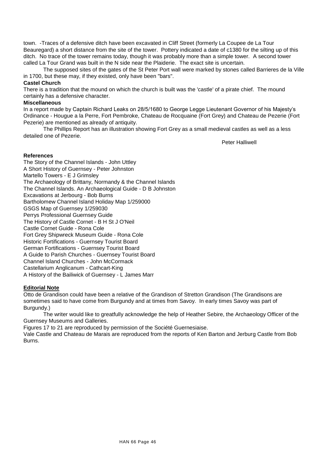town. -Traces of a defensive ditch have been excavated in Cliff Street (formerly La Coupee de La Tour Beauregard) a short distance from the site of the tower. Pottery indicated a date of c1380 for the silting up of this ditch. No trace of the tower remains today, though it was probably more than a simple tower. A second tower called La Tour Grand was built in the N side near the Plaiderie. The exact site is uncertain.

The supposed sites of the gates of the St Peter Port wall were marked by stones called Barrieres de la Ville in 1700, but these may, if they existed, only have been "bars".

# **Castel Church**

There is a tradition that the mound on which the church is built was the 'castle' of a pirate chief. The mound certainly has a defensive character.

# **Miscellaneous**

In a report made by Captain Richard Leaks on 28/5/1680 to George Legge Lieutenant Governor of his Majesty's Ordinance - Hougue a la Perre, Fort Pembroke, Chateau de Rocquaine (Fort Grey) and Chateau de Pezerie (Fort Pezerie) are mentioned as already of antiquity.

The Phillips Report has an illustration showing Fort Grey as a small medieval castles as well as a less detailed one of Pezerie.

Peter Halliwell

# **References**

The Story of the Channel Islands - John Uttley A Short History of Guernsey - Peter Johnston Martello Towers - E J Grimsley The Archaeology of Brittany, Normandy & the Channel Islands The Channel Islands. An Archaeological Guide - D B Johnston Excavations at Jerbourg - Bob Burns Bartholomew Channel Island Holiday Map 1/259000 GSGS Map of Guernsey 1/259030 Perrys Professional Guernsey Guide The History of Castle Cornet - B H St J O'Neil Castle Cornet Guide - Rona Cole Fort Grey Shipwreck Museum Guide - Rona Cole Historic Fortifications - Guernsey Tourist Board German Fortifications - Guernsey Tourist Board A Guide to Parish Churches - Guernsey Tourist Board Channel Island Churches - John McCormack Castellarium Anglicanum - Cathcart-King A History of the Bailiwick of Guernsey - L James Marr

# **Editorial Note**

Otto de Grandison could have been a relative of the Grandison of Stretton Grandison (The Grandisons are sometimes said to have come from Burgundy and at times from Savoy. In early times Savoy was part of Burgundy.)

The writer would like to greatfully acknowledge the help of Heather Sebire, the Archaeology Officer of the Guernsey Museums and Galleries.

Figures 17 to 21 are reproduced by permission of the Société Guernesiaise.

Vale Castle and Chateau de Marais are reproduced from the reports of Ken Barton and Jerburg Castle from Bob Burns.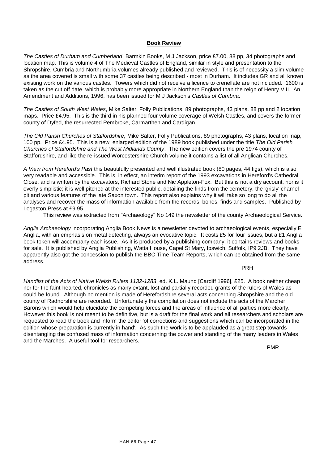# **Book Review**

*The Castles of Durham and Cumberland*, Barmkin Books, M J Jackson, price £7.00, 88 pp, 34 photographs and location map. This is volume 4 of The Medieval Castles of England, similar in style and presentation to the Shropshire, Cumbria and Northumbria volumes already published and reviewed. This is of necessity a slim volume as the area covered is small with some 37 castles being described - most in Durham. It includes GR and all known existing work on the various castles. Towers which did not receive a licence to crenellate are not included. 1600 is taken as the cut off date, which is probably more appropriate in Northern England than the reign of Henry VIII. An Amendment and Additions, 1996, has been issued for M J Jackson's *Castles of Cumbria*.

*The Castles of South West Wales*, Mike Salter, Folly Publications, 89 photographs, 43 plans, 88 pp and 2 location maps. Price £4.95. This is the third in his planned four volume coverage of Welsh Castles, and covers the former county of Dyfed, the resurrected Pembroke, Carmarthen and Cardigan.

*The Old Parish Churches of Staffordshire,* Mike Salter, Folly Publications, 89 photographs, 43 plans, location map, 100 pp. Price £4.95. This is a new enlarged edition of the 1989 book published under the title *The Old Parish Churches of Staffordshire and The West Midlands County*. The new edition covers the pre 1974 county of Staffordshire, and like the re-issued Worcestershire Church volume it contains a list of all Anglican Churches.

*A View from Hereford's Past* this beautifully presented and well illustrated book (80 pages, 44 figs), which is also very readable and accessible. This is, in effect, an interim report of the 1993 excavations in Hereford's Cathedral Close, and is written by the excavators, Richard Stone and Nic Appleton-Fox. But this is not a dry account, nor is it overly simplistic; it is well pitched at the interested public, detailing the finds from the cemetery, the 'grisly' charnel pit and various features of the late Saxon town. This report also explains why it will take so long to do all the analyses and recover the mass of information available from the records, bones, finds and samples. Published by Logaston Press at £9.95.

This review was extracted from "Archaeology" No 149 the newsletter of the county Archaeological Service.

*Anglia Archaeology* incorporating Anglia Book News is a newsletter devoted to archaeological events, especially E Anglia, with an emphasis on metal detecting, always an evocative topic. It costs £5 for four issues, but a £1 Anglia book token will accompany each issue. As it is produced by a publishing company, it contains reviews and books for sale. It is published by Anglia Publishing, Watta House, Capel St Mary, Ipswich, Suffolk, IP9 2JB. They have apparently also got the concession to publish the BBC Time Team Reports, which can be obtained from the same address.

PRH

*Handlist of the Acts of Native Welsh Rulers 1132-1283*, ed. K.L. Maund [Cardiff 1996], £25. A book neither cheap nor for the faint-hearted, chronicles as many extant, lost and partially recorded grants of the rulers of Wales as could be found. Although no mention is made of Herefordshire several acts concerning Shropshire and the old county of Radnorshire are recorded. Unfortunately the compilation does not include the acts of the Marcher Barons which would help elucidate the competing forces and the areas of influence of all parties more clearly. However this book is not meant to be definitive, but is a draft for the final work and all researchers and scholars are requested to read the book and inform the editor 'of corrections and suggestions which can be incorporated in the edition whose preparation is currently in hand'. As such the work is to be applauded as a great step towards disentangling the confused mass of information concerning the power and standing of the many leaders in Wales and the Marches. A useful tool for researchers.

PMR